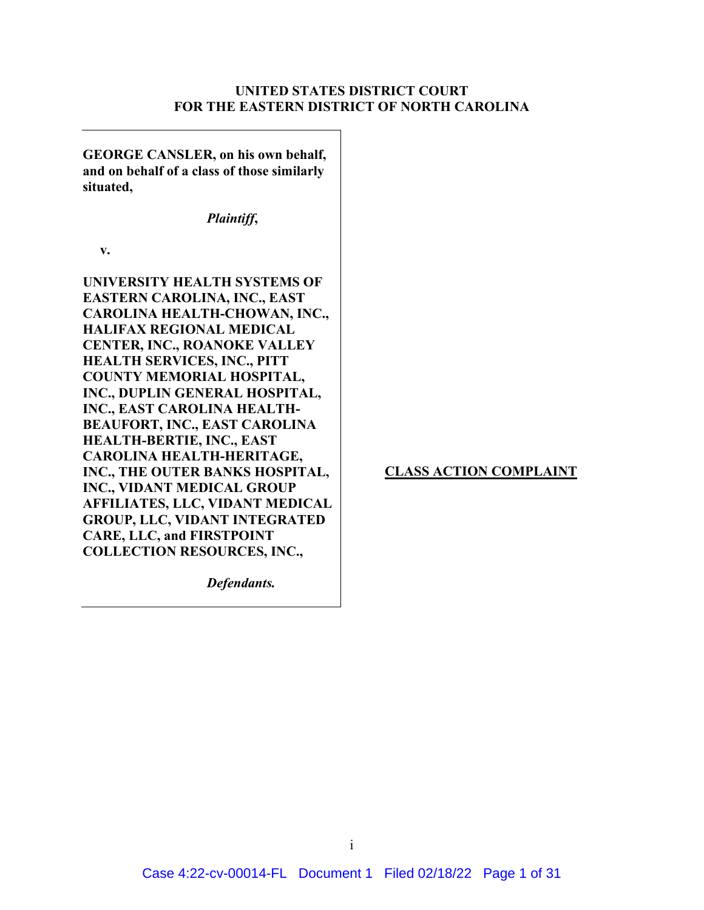# **UNITED STATES DISTRICT COURT FOR THE EASTERN DISTRICT OF NORTH CAROLINA**

**GEORGE CANSLER, on his own behalf, and on behalf of a class of those similarly situated,**  *Plaintiff***, v. UNIVERSITY HEALTH SYSTEMS OF EASTERN CAROLINA, INC., EAST CAROLINA HEALTH-CHOWAN, INC., HALIFAX REGIONAL MEDICAL CENTER, INC., ROANOKE VALLEY HEALTH SERVICES, INC., PITT COUNTY MEMORIAL HOSPITAL, INC., DUPLIN GENERAL HOSPITAL, INC., EAST CAROLINA HEALTH-BEAUFORT, INC., EAST CAROLINA HEALTH-BERTIE, INC., EAST CAROLINA HEALTH-HERITAGE, INC., THE OUTER BANKS HOSPITAL, INC., VIDANT MEDICAL GROUP AFFILIATES, LLC, VIDANT MEDICAL GROUP, LLC, VIDANT INTEGRATED CARE, LLC, and FIRSTPOINT COLLECTION RESOURCES, INC.,**

**CLASS ACTION COMPLAINT**

*Defendants.*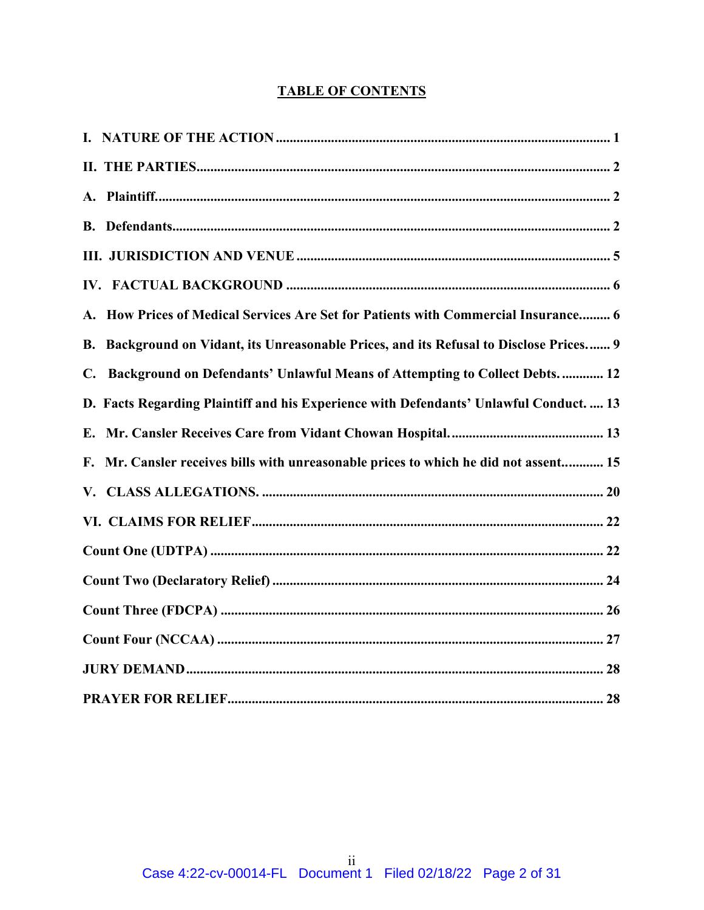# **TABLE OF CONTENTS**

| A. How Prices of Medical Services Are Set for Patients with Commercial Insurance 6             |
|------------------------------------------------------------------------------------------------|
| B. Background on Vidant, its Unreasonable Prices, and its Refusal to Disclose Prices 9         |
| Background on Defendants' Unlawful Means of Attempting to Collect Debts.  12<br>$\mathbf{C}$ . |
| D. Facts Regarding Plaintiff and his Experience with Defendants' Unlawful Conduct.  13         |
|                                                                                                |
| Mr. Cansler receives bills with unreasonable prices to which he did not assent 15<br>F.        |
|                                                                                                |
|                                                                                                |
|                                                                                                |
|                                                                                                |
|                                                                                                |
|                                                                                                |
|                                                                                                |
|                                                                                                |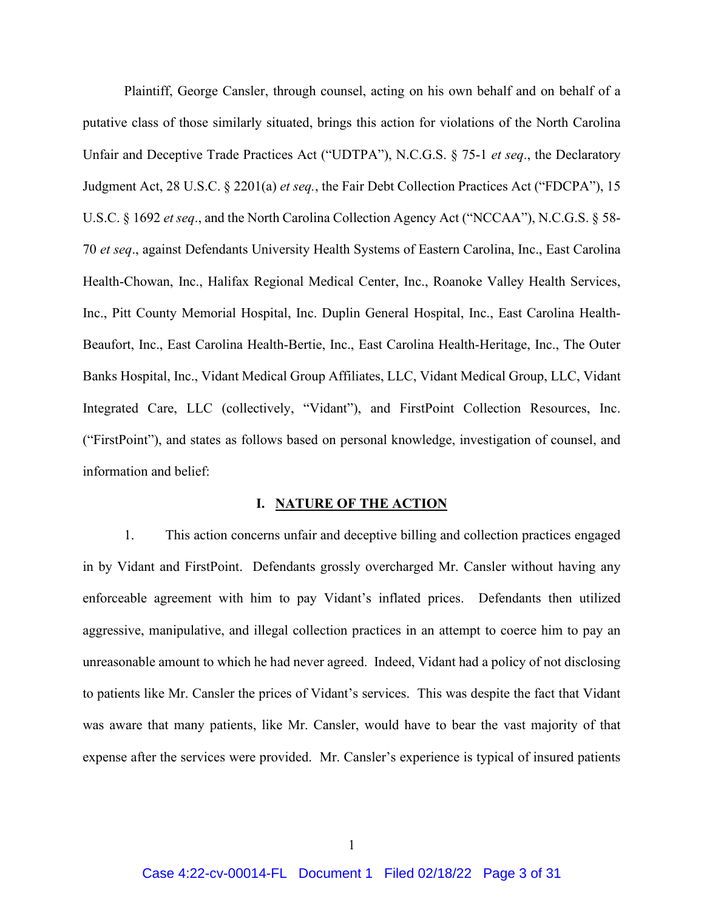Plaintiff, George Cansler, through counsel, acting on his own behalf and on behalf of a putative class of those similarly situated, brings this action for violations of the North Carolina Unfair and Deceptive Trade Practices Act ("UDTPA"), N.C.G.S. § 75-1 *et seq*., the Declaratory Judgment Act, 28 U.S.C. § 2201(a) *et seq.*, the Fair Debt Collection Practices Act ("FDCPA"), 15 U.S.C. § 1692 *et seq*., and the North Carolina Collection Agency Act ("NCCAA"), N.C.G.S. § 58- 70 *et seq*., against Defendants University Health Systems of Eastern Carolina, Inc., East Carolina Health-Chowan, Inc., Halifax Regional Medical Center, Inc., Roanoke Valley Health Services, Inc., Pitt County Memorial Hospital, Inc. Duplin General Hospital, Inc., East Carolina Health-Beaufort, Inc., East Carolina Health-Bertie, Inc., East Carolina Health-Heritage, Inc., The Outer Banks Hospital, Inc., Vidant Medical Group Affiliates, LLC, Vidant Medical Group, LLC, Vidant Integrated Care, LLC (collectively, "Vidant"), and FirstPoint Collection Resources, Inc. ("FirstPoint"), and states as follows based on personal knowledge, investigation of counsel, and information and belief:

### **I. NATURE OF THE ACTION**

1. This action concerns unfair and deceptive billing and collection practices engaged in by Vidant and FirstPoint. Defendants grossly overcharged Mr. Cansler without having any enforceable agreement with him to pay Vidant's inflated prices. Defendants then utilized aggressive, manipulative, and illegal collection practices in an attempt to coerce him to pay an unreasonable amount to which he had never agreed. Indeed, Vidant had a policy of not disclosing to patients like Mr. Cansler the prices of Vidant's services. This was despite the fact that Vidant was aware that many patients, like Mr. Cansler, would have to bear the vast majority of that expense after the services were provided. Mr. Cansler's experience is typical of insured patients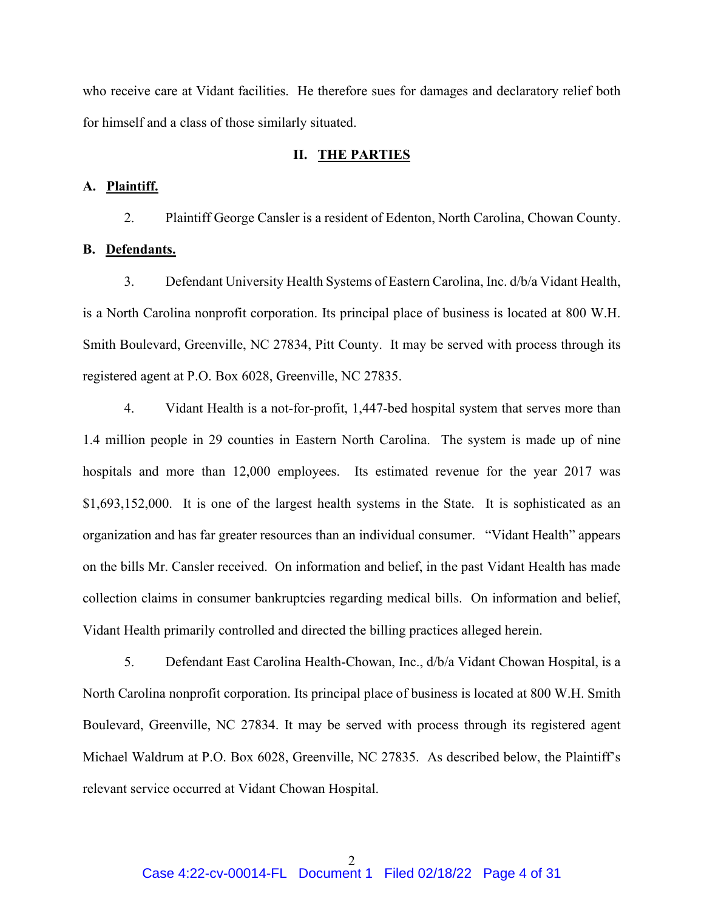who receive care at Vidant facilities. He therefore sues for damages and declaratory relief both for himself and a class of those similarly situated.

## **II. THE PARTIES**

## **A. Plaintiff.**

2. Plaintiff George Cansler is a resident of Edenton, North Carolina, Chowan County.

# **B. Defendants.**

3. Defendant University Health Systems of Eastern Carolina, Inc. d/b/a Vidant Health, is a North Carolina nonprofit corporation. Its principal place of business is located at 800 W.H. Smith Boulevard, Greenville, NC 27834, Pitt County. It may be served with process through its registered agent at P.O. Box 6028, Greenville, NC 27835.

4. Vidant Health is a not-for-profit, 1,447-bed hospital system that serves more than 1.4 million people in 29 counties in Eastern North Carolina. The system is made up of nine hospitals and more than 12,000 employees. Its estimated revenue for the year 2017 was \$1,693,152,000. It is one of the largest health systems in the State. It is sophisticated as an organization and has far greater resources than an individual consumer. "Vidant Health" appears on the bills Mr. Cansler received. On information and belief, in the past Vidant Health has made collection claims in consumer bankruptcies regarding medical bills. On information and belief, Vidant Health primarily controlled and directed the billing practices alleged herein.

5. Defendant East Carolina Health-Chowan, Inc., d/b/a Vidant Chowan Hospital, is a North Carolina nonprofit corporation. Its principal place of business is located at 800 W.H. Smith Boulevard, Greenville, NC 27834. It may be served with process through its registered agent Michael Waldrum at P.O. Box 6028, Greenville, NC 27835. As described below, the Plaintiff's relevant service occurred at Vidant Chowan Hospital.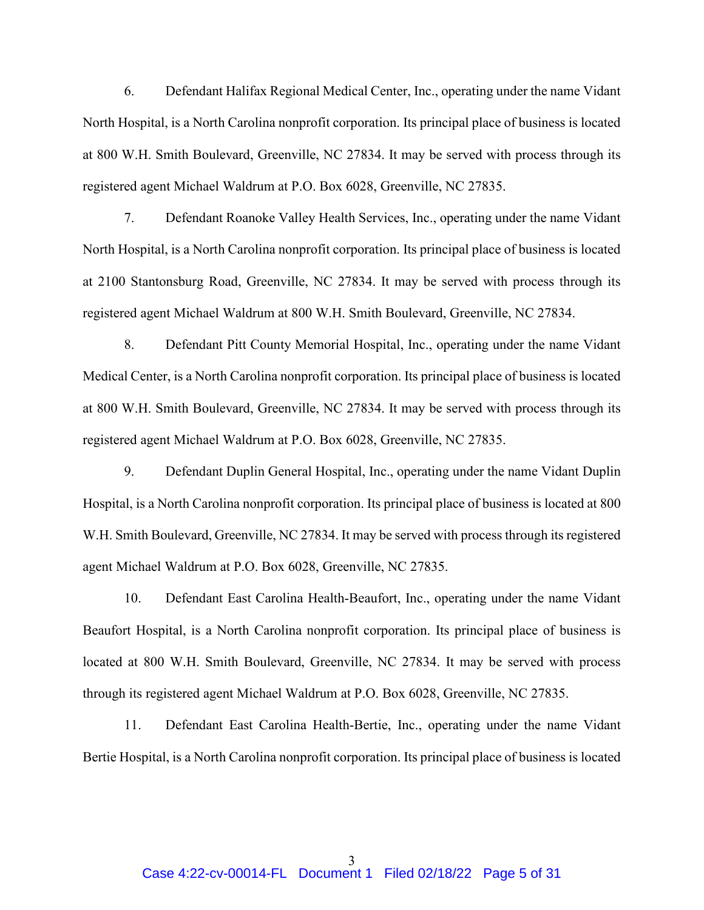6. Defendant Halifax Regional Medical Center, Inc., operating under the name Vidant North Hospital, is a North Carolina nonprofit corporation. Its principal place of business is located at 800 W.H. Smith Boulevard, Greenville, NC 27834. It may be served with process through its registered agent Michael Waldrum at P.O. Box 6028, Greenville, NC 27835.

7. Defendant Roanoke Valley Health Services, Inc., operating under the name Vidant North Hospital, is a North Carolina nonprofit corporation. Its principal place of business is located at 2100 Stantonsburg Road, Greenville, NC 27834. It may be served with process through its registered agent Michael Waldrum at 800 W.H. Smith Boulevard, Greenville, NC 27834.

8. Defendant Pitt County Memorial Hospital, Inc., operating under the name Vidant Medical Center, is a North Carolina nonprofit corporation. Its principal place of business is located at 800 W.H. Smith Boulevard, Greenville, NC 27834. It may be served with process through its registered agent Michael Waldrum at P.O. Box 6028, Greenville, NC 27835.

9. Defendant Duplin General Hospital, Inc., operating under the name Vidant Duplin Hospital, is a North Carolina nonprofit corporation. Its principal place of business is located at 800 W.H. Smith Boulevard, Greenville, NC 27834. It may be served with process through its registered agent Michael Waldrum at P.O. Box 6028, Greenville, NC 27835.

10. Defendant East Carolina Health-Beaufort, Inc., operating under the name Vidant Beaufort Hospital, is a North Carolina nonprofit corporation. Its principal place of business is located at 800 W.H. Smith Boulevard, Greenville, NC 27834. It may be served with process through its registered agent Michael Waldrum at P.O. Box 6028, Greenville, NC 27835.

11. Defendant East Carolina Health-Bertie, Inc., operating under the name Vidant Bertie Hospital, is a North Carolina nonprofit corporation. Its principal place of business is located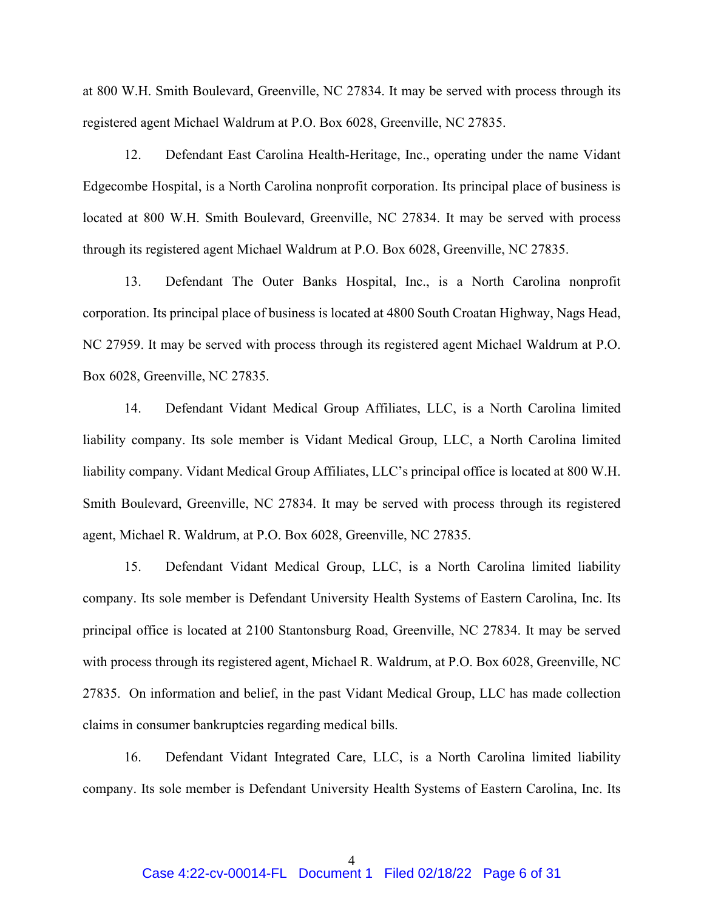at 800 W.H. Smith Boulevard, Greenville, NC 27834. It may be served with process through its registered agent Michael Waldrum at P.O. Box 6028, Greenville, NC 27835.

12. Defendant East Carolina Health-Heritage, Inc., operating under the name Vidant Edgecombe Hospital, is a North Carolina nonprofit corporation. Its principal place of business is located at 800 W.H. Smith Boulevard, Greenville, NC 27834. It may be served with process through its registered agent Michael Waldrum at P.O. Box 6028, Greenville, NC 27835.

13. Defendant The Outer Banks Hospital, Inc., is a North Carolina nonprofit corporation. Its principal place of business is located at 4800 South Croatan Highway, Nags Head, NC 27959. It may be served with process through its registered agent Michael Waldrum at P.O. Box 6028, Greenville, NC 27835.

14. Defendant Vidant Medical Group Affiliates, LLC, is a North Carolina limited liability company. Its sole member is Vidant Medical Group, LLC, a North Carolina limited liability company. Vidant Medical Group Affiliates, LLC's principal office is located at 800 W.H. Smith Boulevard, Greenville, NC 27834. It may be served with process through its registered agent, Michael R. Waldrum, at P.O. Box 6028, Greenville, NC 27835.

15. Defendant Vidant Medical Group, LLC, is a North Carolina limited liability company. Its sole member is Defendant University Health Systems of Eastern Carolina, Inc. Its principal office is located at 2100 Stantonsburg Road, Greenville, NC 27834. It may be served with process through its registered agent, Michael R. Waldrum, at P.O. Box 6028, Greenville, NC 27835. On information and belief, in the past Vidant Medical Group, LLC has made collection claims in consumer bankruptcies regarding medical bills.

16. Defendant Vidant Integrated Care, LLC, is a North Carolina limited liability company. Its sole member is Defendant University Health Systems of Eastern Carolina, Inc. Its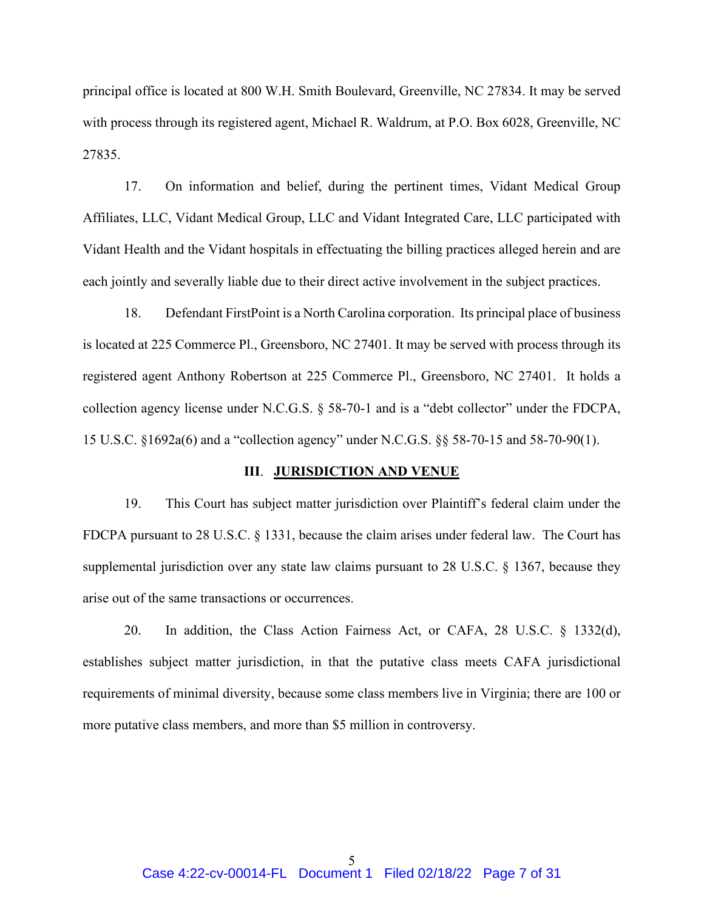principal office is located at 800 W.H. Smith Boulevard, Greenville, NC 27834. It may be served with process through its registered agent, Michael R. Waldrum, at P.O. Box 6028, Greenville, NC 27835.

17. On information and belief, during the pertinent times, Vidant Medical Group Affiliates, LLC, Vidant Medical Group, LLC and Vidant Integrated Care, LLC participated with Vidant Health and the Vidant hospitals in effectuating the billing practices alleged herein and are each jointly and severally liable due to their direct active involvement in the subject practices.

18. Defendant FirstPoint is a North Carolina corporation. Its principal place of business is located at 225 Commerce Pl., Greensboro, NC 27401. It may be served with process through its registered agent Anthony Robertson at 225 Commerce Pl., Greensboro, NC 27401. It holds a collection agency license under N.C.G.S. § 58-70-1 and is a "debt collector" under the FDCPA, 15 U.S.C. §1692a(6) and a "collection agency" under N.C.G.S. §§ 58-70-15 and 58-70-90(1).

#### **III**. **JURISDICTION AND VENUE**

19. This Court has subject matter jurisdiction over Plaintiff's federal claim under the FDCPA pursuant to 28 U.S.C. § 1331, because the claim arises under federal law. The Court has supplemental jurisdiction over any state law claims pursuant to 28 U.S.C. § 1367, because they arise out of the same transactions or occurrences.

20. In addition, the Class Action Fairness Act, or CAFA, 28 U.S.C. § 1332(d), establishes subject matter jurisdiction, in that the putative class meets CAFA jurisdictional requirements of minimal diversity, because some class members live in Virginia; there are 100 or more putative class members, and more than \$5 million in controversy.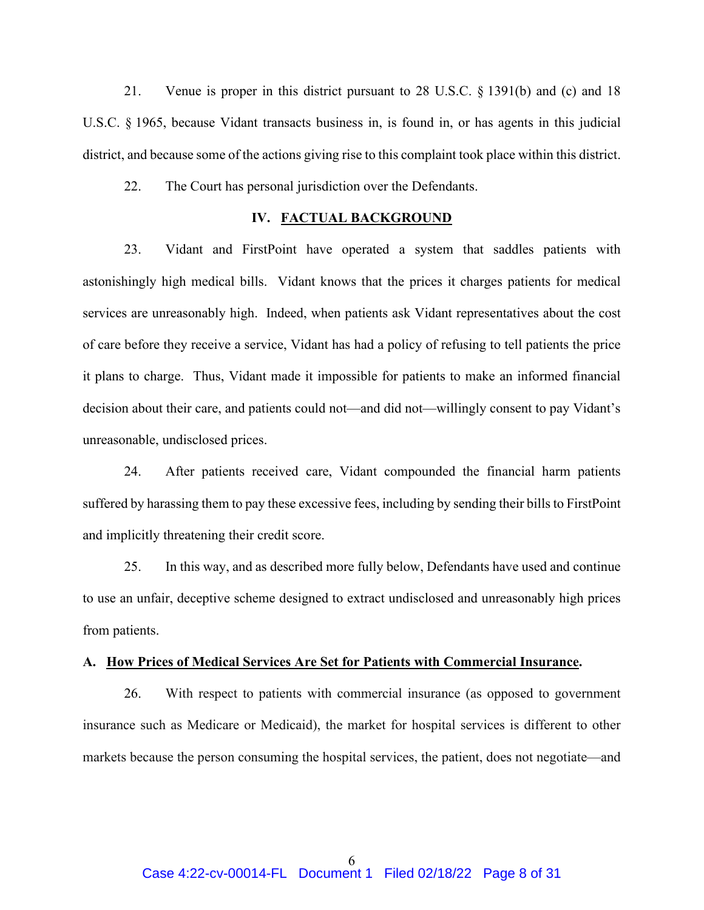21. Venue is proper in this district pursuant to 28 U.S.C. § 1391(b) and (c) and 18 U.S.C. § 1965, because Vidant transacts business in, is found in, or has agents in this judicial district, and because some of the actions giving rise to this complaint took place within this district.

22. The Court has personal jurisdiction over the Defendants.

# **IV. FACTUAL BACKGROUND**

23. Vidant and FirstPoint have operated a system that saddles patients with astonishingly high medical bills. Vidant knows that the prices it charges patients for medical services are unreasonably high. Indeed, when patients ask Vidant representatives about the cost of care before they receive a service, Vidant has had a policy of refusing to tell patients the price it plans to charge. Thus, Vidant made it impossible for patients to make an informed financial decision about their care, and patients could not—and did not—willingly consent to pay Vidant's unreasonable, undisclosed prices.

24. After patients received care, Vidant compounded the financial harm patients suffered by harassing them to pay these excessive fees, including by sending their bills to FirstPoint and implicitly threatening their credit score.

25. In this way, and as described more fully below, Defendants have used and continue to use an unfair, deceptive scheme designed to extract undisclosed and unreasonably high prices from patients.

## **A. How Prices of Medical Services Are Set for Patients with Commercial Insurance.**

26. With respect to patients with commercial insurance (as opposed to government insurance such as Medicare or Medicaid), the market for hospital services is different to other markets because the person consuming the hospital services, the patient, does not negotiate—and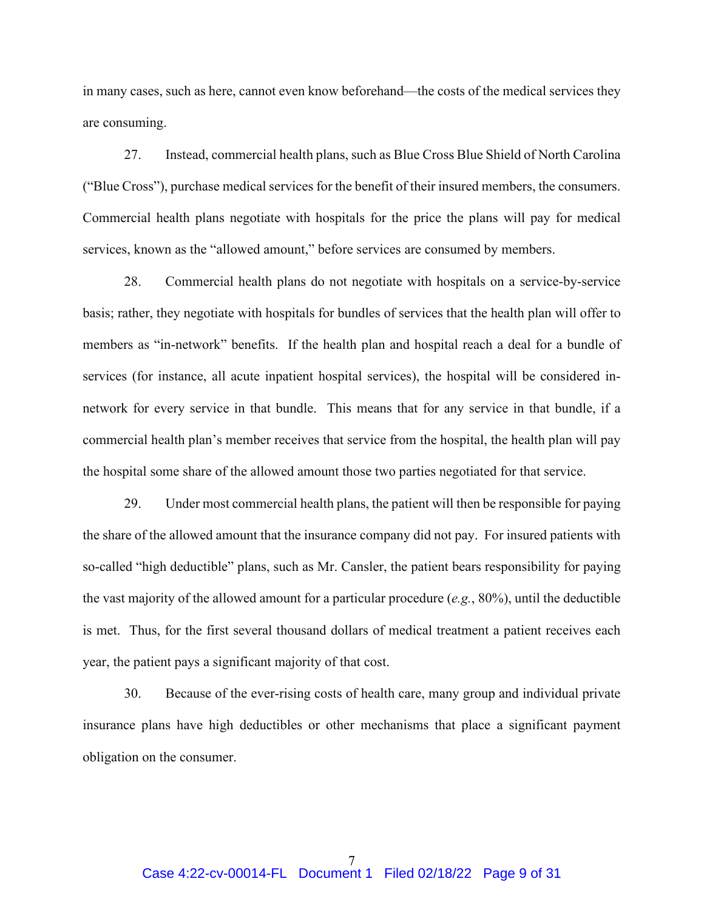in many cases, such as here, cannot even know beforehand—the costs of the medical services they are consuming.

27. Instead, commercial health plans, such as Blue Cross Blue Shield of North Carolina ("Blue Cross"), purchase medical services for the benefit of their insured members, the consumers. Commercial health plans negotiate with hospitals for the price the plans will pay for medical services, known as the "allowed amount," before services are consumed by members.

28. Commercial health plans do not negotiate with hospitals on a service-by-service basis; rather, they negotiate with hospitals for bundles of services that the health plan will offer to members as "in-network" benefits. If the health plan and hospital reach a deal for a bundle of services (for instance, all acute inpatient hospital services), the hospital will be considered innetwork for every service in that bundle. This means that for any service in that bundle, if a commercial health plan's member receives that service from the hospital, the health plan will pay the hospital some share of the allowed amount those two parties negotiated for that service.

29. Under most commercial health plans, the patient will then be responsible for paying the share of the allowed amount that the insurance company did not pay. For insured patients with so-called "high deductible" plans, such as Mr. Cansler, the patient bears responsibility for paying the vast majority of the allowed amount for a particular procedure (*e.g.*, 80%), until the deductible is met. Thus, for the first several thousand dollars of medical treatment a patient receives each year, the patient pays a significant majority of that cost.

30. Because of the ever-rising costs of health care, many group and individual private insurance plans have high deductibles or other mechanisms that place a significant payment obligation on the consumer.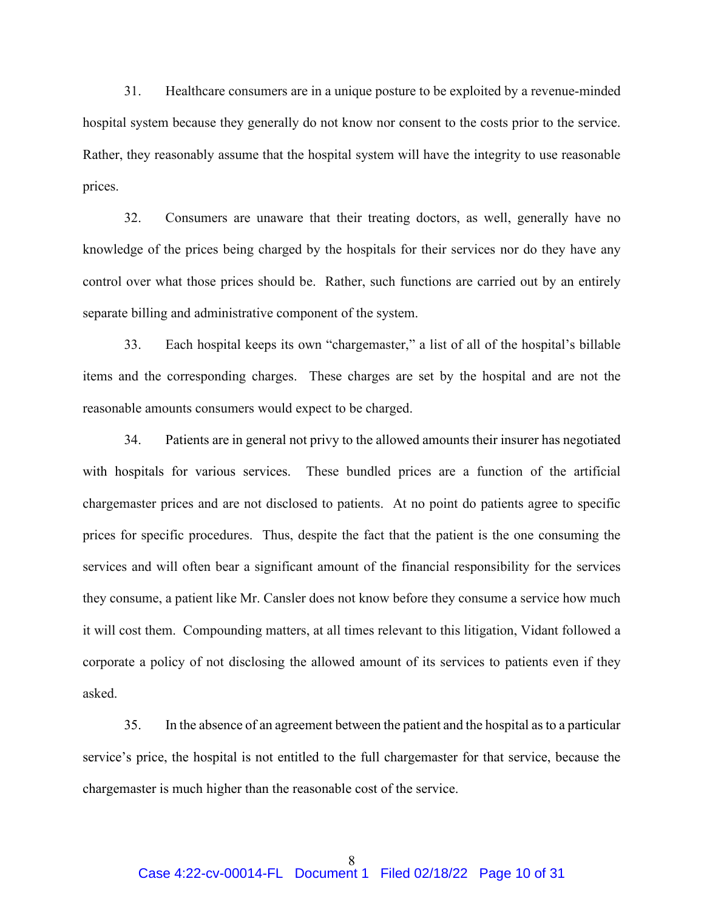31. Healthcare consumers are in a unique posture to be exploited by a revenue-minded hospital system because they generally do not know nor consent to the costs prior to the service. Rather, they reasonably assume that the hospital system will have the integrity to use reasonable prices.

32. Consumers are unaware that their treating doctors, as well, generally have no knowledge of the prices being charged by the hospitals for their services nor do they have any control over what those prices should be. Rather, such functions are carried out by an entirely separate billing and administrative component of the system.

33. Each hospital keeps its own "chargemaster," a list of all of the hospital's billable items and the corresponding charges. These charges are set by the hospital and are not the reasonable amounts consumers would expect to be charged.

34. Patients are in general not privy to the allowed amounts their insurer has negotiated with hospitals for various services. These bundled prices are a function of the artificial chargemaster prices and are not disclosed to patients. At no point do patients agree to specific prices for specific procedures. Thus, despite the fact that the patient is the one consuming the services and will often bear a significant amount of the financial responsibility for the services they consume, a patient like Mr. Cansler does not know before they consume a service how much it will cost them. Compounding matters, at all times relevant to this litigation, Vidant followed a corporate a policy of not disclosing the allowed amount of its services to patients even if they asked.

35. In the absence of an agreement between the patient and the hospital as to a particular service's price, the hospital is not entitled to the full chargemaster for that service, because the chargemaster is much higher than the reasonable cost of the service.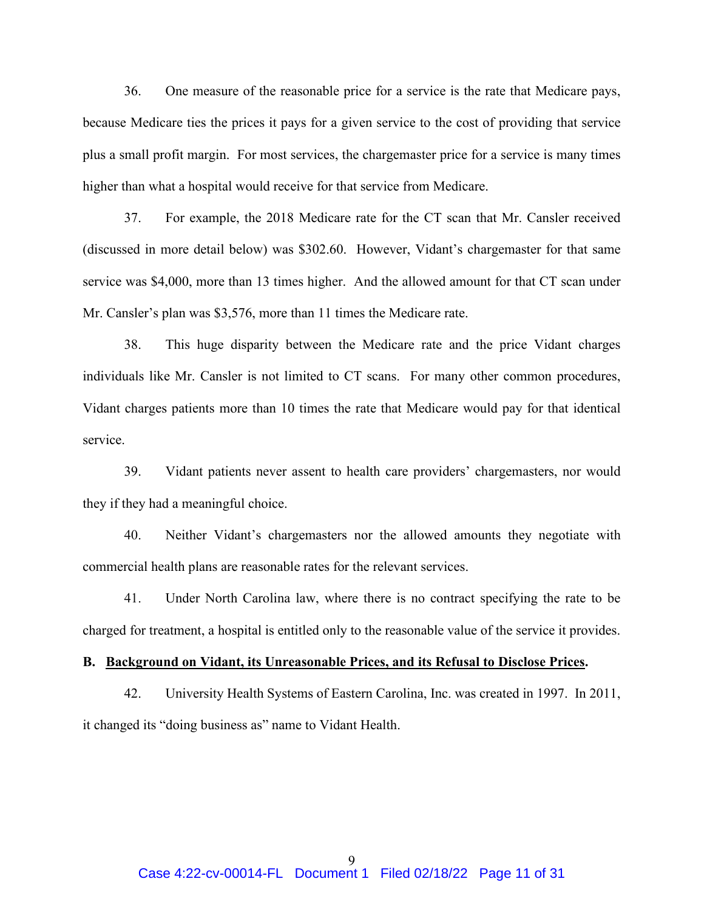36. One measure of the reasonable price for a service is the rate that Medicare pays, because Medicare ties the prices it pays for a given service to the cost of providing that service plus a small profit margin. For most services, the chargemaster price for a service is many times higher than what a hospital would receive for that service from Medicare.

37. For example, the 2018 Medicare rate for the CT scan that Mr. Cansler received (discussed in more detail below) was \$302.60. However, Vidant's chargemaster for that same service was \$4,000, more than 13 times higher. And the allowed amount for that CT scan under Mr. Cansler's plan was \$3,576, more than 11 times the Medicare rate.

38. This huge disparity between the Medicare rate and the price Vidant charges individuals like Mr. Cansler is not limited to CT scans. For many other common procedures, Vidant charges patients more than 10 times the rate that Medicare would pay for that identical service.

39. Vidant patients never assent to health care providers' chargemasters, nor would they if they had a meaningful choice.

40. Neither Vidant's chargemasters nor the allowed amounts they negotiate with commercial health plans are reasonable rates for the relevant services.

41. Under North Carolina law, where there is no contract specifying the rate to be charged for treatment, a hospital is entitled only to the reasonable value of the service it provides.

## **B. Background on Vidant, its Unreasonable Prices, and its Refusal to Disclose Prices.**

42. University Health Systems of Eastern Carolina, Inc. was created in 1997. In 2011, it changed its "doing business as" name to Vidant Health.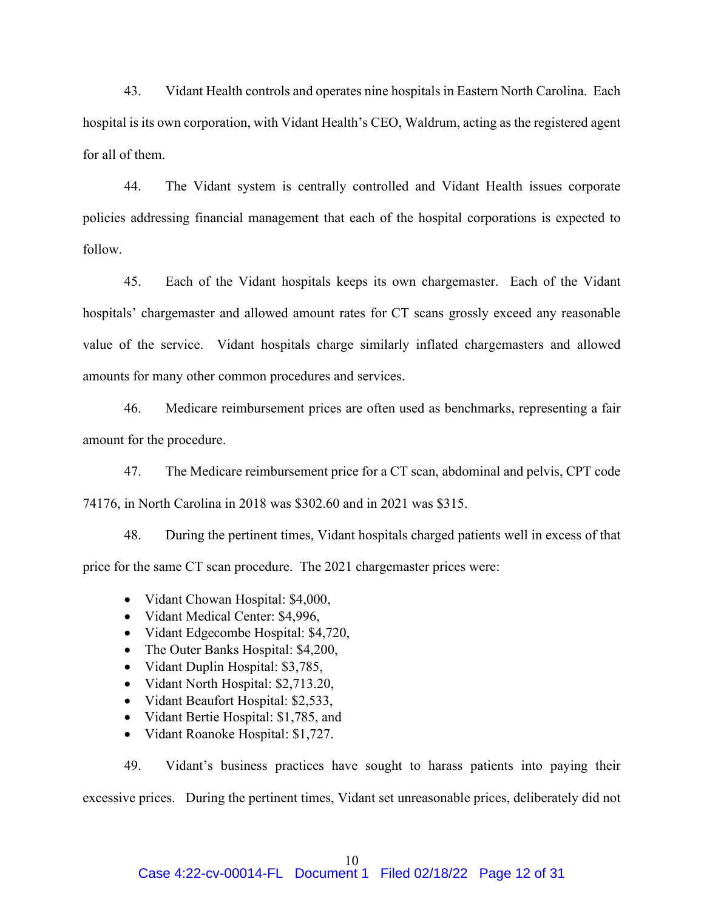43. Vidant Health controls and operates nine hospitals in Eastern North Carolina. Each hospital is its own corporation, with Vidant Health's CEO, Waldrum, acting as the registered agent for all of them.

44. The Vidant system is centrally controlled and Vidant Health issues corporate policies addressing financial management that each of the hospital corporations is expected to follow.

45. Each of the Vidant hospitals keeps its own chargemaster. Each of the Vidant hospitals' chargemaster and allowed amount rates for CT scans grossly exceed any reasonable value of the service. Vidant hospitals charge similarly inflated chargemasters and allowed amounts for many other common procedures and services.

46. Medicare reimbursement prices are often used as benchmarks, representing a fair amount for the procedure.

47. The Medicare reimbursement price for a CT scan, abdominal and pelvis, CPT code 74176, in North Carolina in 2018 was \$302.60 and in 2021 was \$315.

48. During the pertinent times, Vidant hospitals charged patients well in excess of that price for the same CT scan procedure. The 2021 chargemaster prices were:

- Vidant Chowan Hospital: \$4,000,
- Vidant Medical Center: \$4,996,
- Vidant Edgecombe Hospital: \$4,720,
- The Outer Banks Hospital: \$4,200,
- Vidant Duplin Hospital: \$3,785,
- Vidant North Hospital: \$2,713.20,
- Vidant Beaufort Hospital: \$2,533,
- Vidant Bertie Hospital: \$1,785, and
- Vidant Roanoke Hospital: \$1,727.

49. Vidant's business practices have sought to harass patients into paying their excessive prices. During the pertinent times, Vidant set unreasonable prices, deliberately did not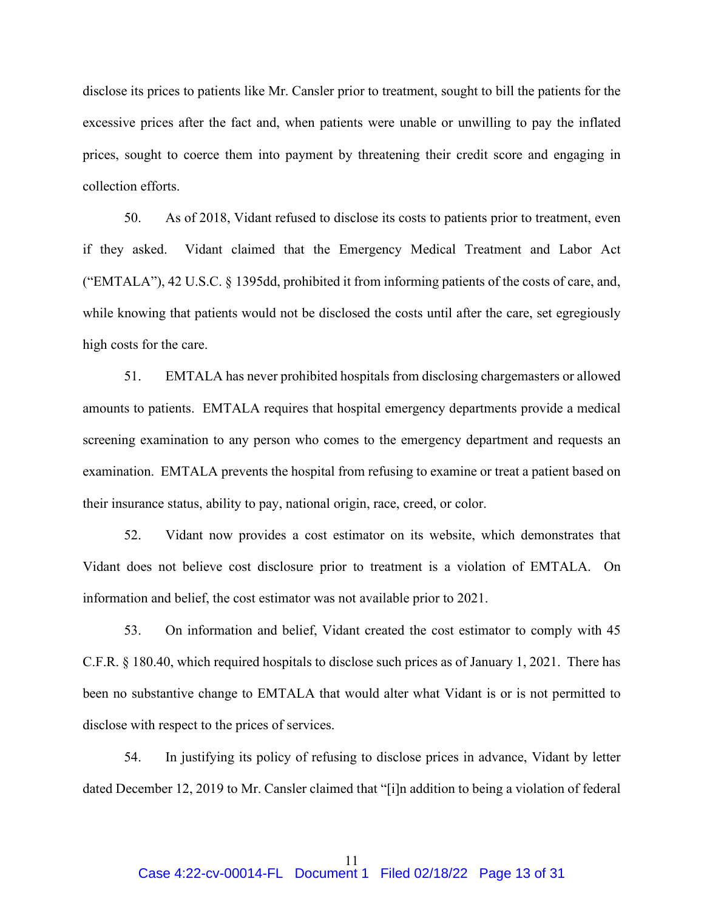disclose its prices to patients like Mr. Cansler prior to treatment, sought to bill the patients for the excessive prices after the fact and, when patients were unable or unwilling to pay the inflated prices, sought to coerce them into payment by threatening their credit score and engaging in collection efforts.

50. As of 2018, Vidant refused to disclose its costs to patients prior to treatment, even if they asked. Vidant claimed that the Emergency Medical Treatment and Labor Act ("EMTALA"), 42 U.S.C. § 1395dd, prohibited it from informing patients of the costs of care, and, while knowing that patients would not be disclosed the costs until after the care, set egregiously high costs for the care.

51. EMTALA has never prohibited hospitals from disclosing chargemasters or allowed amounts to patients. EMTALA requires that hospital emergency departments provide a medical screening examination to any person who comes to the emergency department and requests an examination. EMTALA prevents the hospital from refusing to examine or treat a patient based on their insurance status, ability to pay, national origin, race, creed, or color.

52. Vidant now provides a cost estimator on its website, which demonstrates that Vidant does not believe cost disclosure prior to treatment is a violation of EMTALA. On information and belief, the cost estimator was not available prior to 2021.

53. On information and belief, Vidant created the cost estimator to comply with 45 C.F.R. § 180.40, which required hospitals to disclose such prices as of January 1, 2021. There has been no substantive change to EMTALA that would alter what Vidant is or is not permitted to disclose with respect to the prices of services.

54. In justifying its policy of refusing to disclose prices in advance, Vidant by letter dated December 12, 2019 to Mr. Cansler claimed that "[i]n addition to being a violation of federal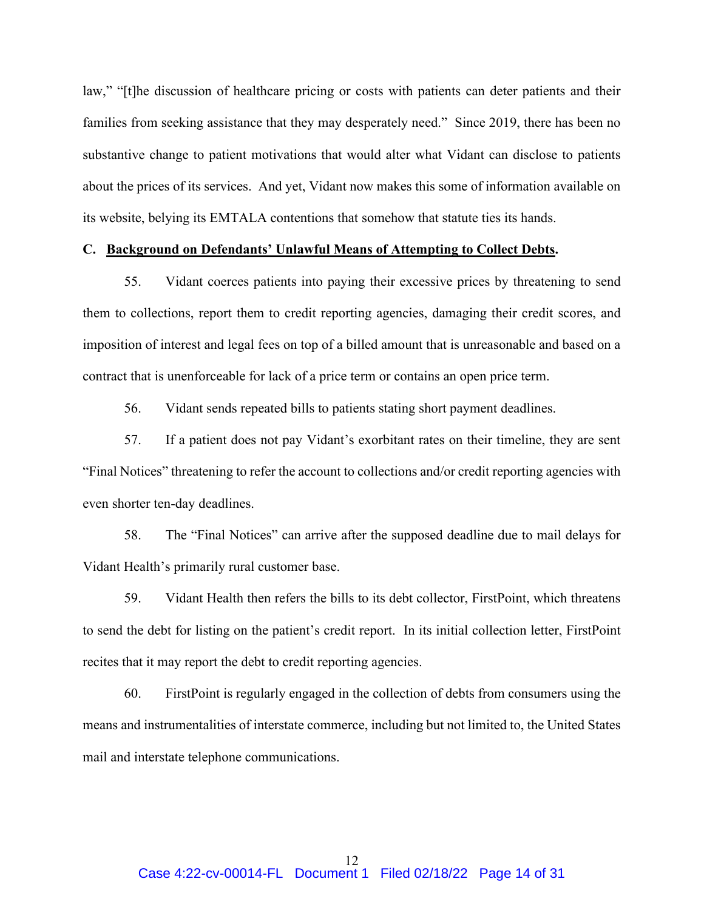law," "[t]he discussion of healthcare pricing or costs with patients can deter patients and their families from seeking assistance that they may desperately need." Since 2019, there has been no substantive change to patient motivations that would alter what Vidant can disclose to patients about the prices of its services. And yet, Vidant now makes this some of information available on its website, belying its EMTALA contentions that somehow that statute ties its hands.

# **C. Background on Defendants' Unlawful Means of Attempting to Collect Debts.**

55. Vidant coerces patients into paying their excessive prices by threatening to send them to collections, report them to credit reporting agencies, damaging their credit scores, and imposition of interest and legal fees on top of a billed amount that is unreasonable and based on a contract that is unenforceable for lack of a price term or contains an open price term.

56. Vidant sends repeated bills to patients stating short payment deadlines.

57. If a patient does not pay Vidant's exorbitant rates on their timeline, they are sent "Final Notices" threatening to refer the account to collections and/or credit reporting agencies with even shorter ten-day deadlines.

58. The "Final Notices" can arrive after the supposed deadline due to mail delays for Vidant Health's primarily rural customer base.

59. Vidant Health then refers the bills to its debt collector, FirstPoint, which threatens to send the debt for listing on the patient's credit report. In its initial collection letter, FirstPoint recites that it may report the debt to credit reporting agencies.

60. FirstPoint is regularly engaged in the collection of debts from consumers using the means and instrumentalities of interstate commerce, including but not limited to, the United States mail and interstate telephone communications.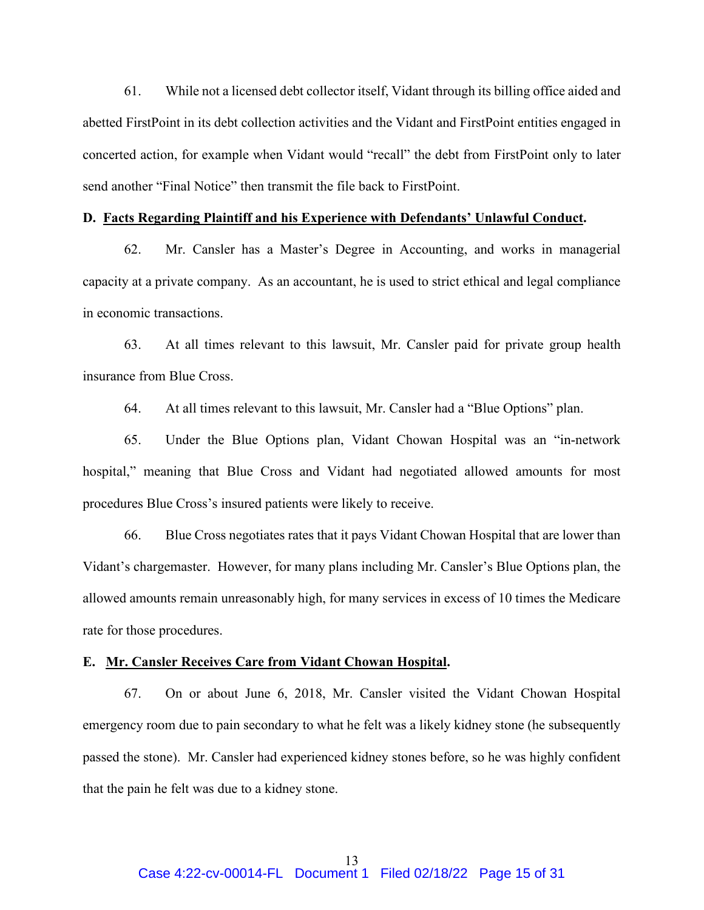61. While not a licensed debt collector itself, Vidant through its billing office aided and abetted FirstPoint in its debt collection activities and the Vidant and FirstPoint entities engaged in concerted action, for example when Vidant would "recall" the debt from FirstPoint only to later send another "Final Notice" then transmit the file back to FirstPoint.

#### **D. Facts Regarding Plaintiff and his Experience with Defendants' Unlawful Conduct.**

62. Mr. Cansler has a Master's Degree in Accounting, and works in managerial capacity at a private company. As an accountant, he is used to strict ethical and legal compliance in economic transactions.

63. At all times relevant to this lawsuit, Mr. Cansler paid for private group health insurance from Blue Cross.

64. At all times relevant to this lawsuit, Mr. Cansler had a "Blue Options" plan.

65. Under the Blue Options plan, Vidant Chowan Hospital was an "in-network hospital," meaning that Blue Cross and Vidant had negotiated allowed amounts for most procedures Blue Cross's insured patients were likely to receive.

66. Blue Cross negotiates rates that it pays Vidant Chowan Hospital that are lower than Vidant's chargemaster. However, for many plans including Mr. Cansler's Blue Options plan, the allowed amounts remain unreasonably high, for many services in excess of 10 times the Medicare rate for those procedures.

#### **E. Mr. Cansler Receives Care from Vidant Chowan Hospital.**

67. On or about June 6, 2018, Mr. Cansler visited the Vidant Chowan Hospital emergency room due to pain secondary to what he felt was a likely kidney stone (he subsequently passed the stone). Mr. Cansler had experienced kidney stones before, so he was highly confident that the pain he felt was due to a kidney stone.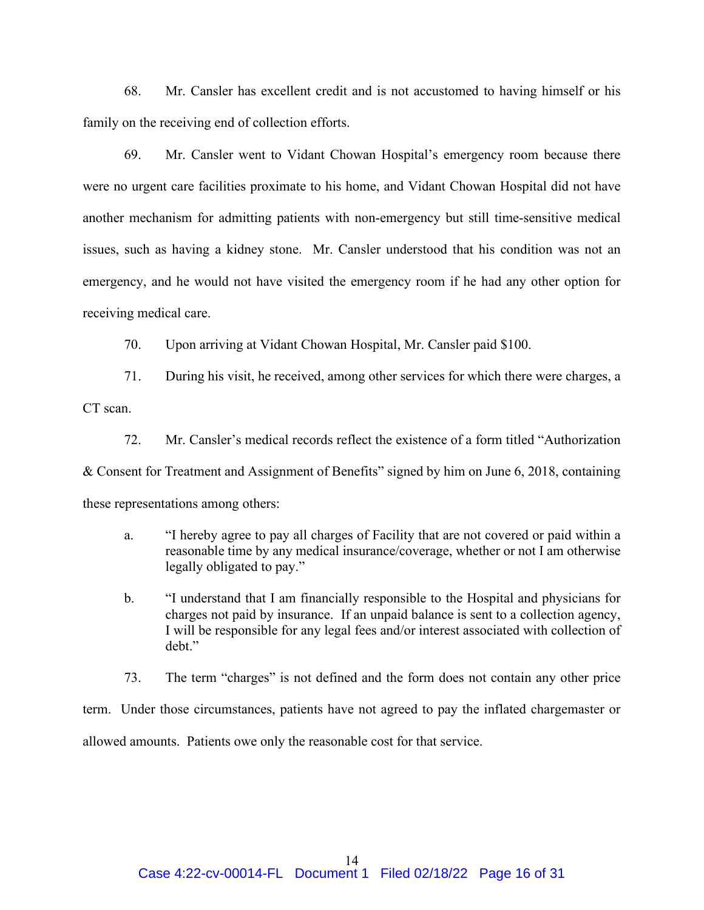68. Mr. Cansler has excellent credit and is not accustomed to having himself or his family on the receiving end of collection efforts.

69. Mr. Cansler went to Vidant Chowan Hospital's emergency room because there were no urgent care facilities proximate to his home, and Vidant Chowan Hospital did not have another mechanism for admitting patients with non-emergency but still time-sensitive medical issues, such as having a kidney stone. Mr. Cansler understood that his condition was not an emergency, and he would not have visited the emergency room if he had any other option for receiving medical care.

70. Upon arriving at Vidant Chowan Hospital, Mr. Cansler paid \$100.

71. During his visit, he received, among other services for which there were charges, a CT scan.

72. Mr. Cansler's medical records reflect the existence of a form titled "Authorization & Consent for Treatment and Assignment of Benefits" signed by him on June 6, 2018, containing these representations among others:

- a. "I hereby agree to pay all charges of Facility that are not covered or paid within a reasonable time by any medical insurance/coverage, whether or not I am otherwise legally obligated to pay."
- b. "I understand that I am financially responsible to the Hospital and physicians for charges not paid by insurance. If an unpaid balance is sent to a collection agency, I will be responsible for any legal fees and/or interest associated with collection of debt."

73. The term "charges" is not defined and the form does not contain any other price

term. Under those circumstances, patients have not agreed to pay the inflated chargemaster or

allowed amounts. Patients owe only the reasonable cost for that service.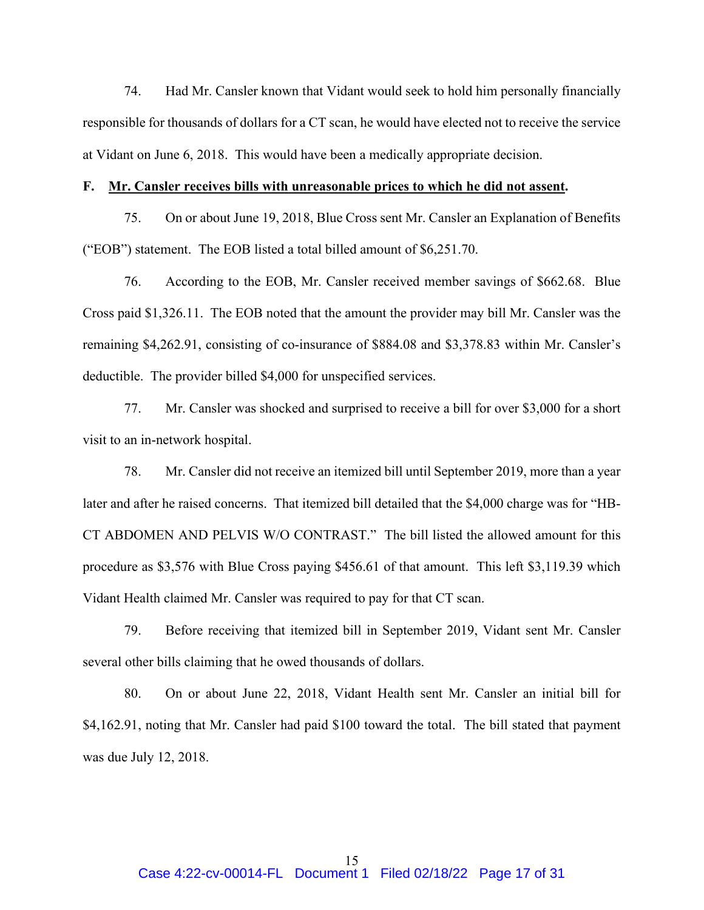74. Had Mr. Cansler known that Vidant would seek to hold him personally financially responsible for thousands of dollars for a CT scan, he would have elected not to receive the service at Vidant on June 6, 2018. This would have been a medically appropriate decision.

## **F. Mr. Cansler receives bills with unreasonable prices to which he did not assent.**

75. On or about June 19, 2018, Blue Cross sent Mr. Cansler an Explanation of Benefits ("EOB") statement. The EOB listed a total billed amount of \$6,251.70.

76. According to the EOB, Mr. Cansler received member savings of \$662.68. Blue Cross paid \$1,326.11. The EOB noted that the amount the provider may bill Mr. Cansler was the remaining \$4,262.91, consisting of co-insurance of \$884.08 and \$3,378.83 within Mr. Cansler's deductible. The provider billed \$4,000 for unspecified services.

77. Mr. Cansler was shocked and surprised to receive a bill for over \$3,000 for a short visit to an in-network hospital.

78. Mr. Cansler did not receive an itemized bill until September 2019, more than a year later and after he raised concerns. That itemized bill detailed that the \$4,000 charge was for "HB-CT ABDOMEN AND PELVIS W/O CONTRAST." The bill listed the allowed amount for this procedure as \$3,576 with Blue Cross paying \$456.61 of that amount. This left \$3,119.39 which Vidant Health claimed Mr. Cansler was required to pay for that CT scan.

79. Before receiving that itemized bill in September 2019, Vidant sent Mr. Cansler several other bills claiming that he owed thousands of dollars.

80. On or about June 22, 2018, Vidant Health sent Mr. Cansler an initial bill for \$4,162.91, noting that Mr. Cansler had paid \$100 toward the total. The bill stated that payment was due July 12, 2018.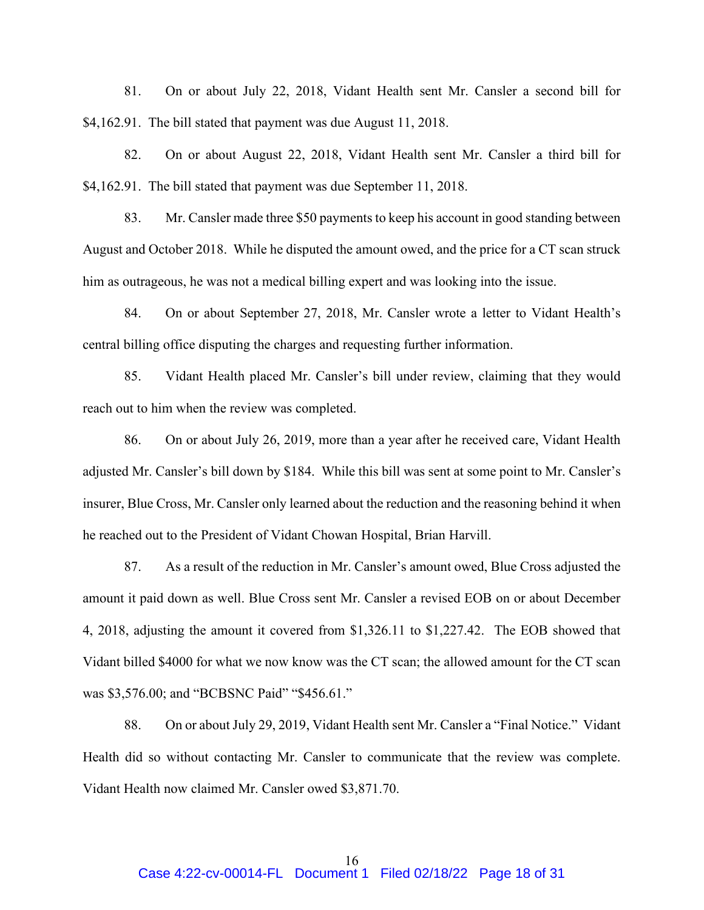81. On or about July 22, 2018, Vidant Health sent Mr. Cansler a second bill for \$4,162.91. The bill stated that payment was due August 11, 2018.

82. On or about August 22, 2018, Vidant Health sent Mr. Cansler a third bill for \$4,162.91. The bill stated that payment was due September 11, 2018.

83. Mr. Cansler made three \$50 payments to keep his account in good standing between August and October 2018. While he disputed the amount owed, and the price for a CT scan struck him as outrageous, he was not a medical billing expert and was looking into the issue.

84. On or about September 27, 2018, Mr. Cansler wrote a letter to Vidant Health's central billing office disputing the charges and requesting further information.

85. Vidant Health placed Mr. Cansler's bill under review, claiming that they would reach out to him when the review was completed.

86. On or about July 26, 2019, more than a year after he received care, Vidant Health adjusted Mr. Cansler's bill down by \$184. While this bill was sent at some point to Mr. Cansler's insurer, Blue Cross, Mr. Cansler only learned about the reduction and the reasoning behind it when he reached out to the President of Vidant Chowan Hospital, Brian Harvill.

87. As a result of the reduction in Mr. Cansler's amount owed, Blue Cross adjusted the amount it paid down as well. Blue Cross sent Mr. Cansler a revised EOB on or about December 4, 2018, adjusting the amount it covered from \$1,326.11 to \$1,227.42. The EOB showed that Vidant billed \$4000 for what we now know was the CT scan; the allowed amount for the CT scan was \$3,576.00; and "BCBSNC Paid" "\$456.61."

88. On or about July 29, 2019, Vidant Health sent Mr. Cansler a "Final Notice." Vidant Health did so without contacting Mr. Cansler to communicate that the review was complete. Vidant Health now claimed Mr. Cansler owed \$3,871.70.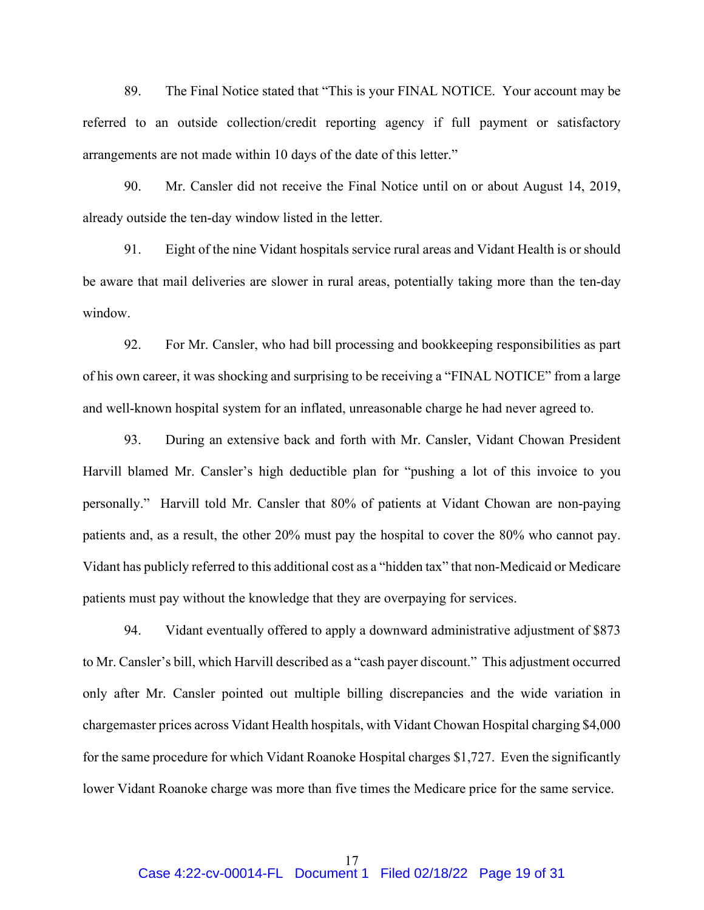89. The Final Notice stated that "This is your FINAL NOTICE. Your account may be referred to an outside collection/credit reporting agency if full payment or satisfactory arrangements are not made within 10 days of the date of this letter."

90. Mr. Cansler did not receive the Final Notice until on or about August 14, 2019, already outside the ten-day window listed in the letter.

91. Eight of the nine Vidant hospitals service rural areas and Vidant Health is or should be aware that mail deliveries are slower in rural areas, potentially taking more than the ten-day window.

92. For Mr. Cansler, who had bill processing and bookkeeping responsibilities as part of his own career, it was shocking and surprising to be receiving a "FINAL NOTICE" from a large and well-known hospital system for an inflated, unreasonable charge he had never agreed to.

93. During an extensive back and forth with Mr. Cansler, Vidant Chowan President Harvill blamed Mr. Cansler's high deductible plan for "pushing a lot of this invoice to you personally." Harvill told Mr. Cansler that 80% of patients at Vidant Chowan are non-paying patients and, as a result, the other 20% must pay the hospital to cover the 80% who cannot pay. Vidant has publicly referred to this additional cost as a "hidden tax" that non-Medicaid or Medicare patients must pay without the knowledge that they are overpaying for services.

94. Vidant eventually offered to apply a downward administrative adjustment of \$873 to Mr. Cansler's bill, which Harvill described as a "cash payer discount." This adjustment occurred only after Mr. Cansler pointed out multiple billing discrepancies and the wide variation in chargemaster prices across Vidant Health hospitals, with Vidant Chowan Hospital charging \$4,000 for the same procedure for which Vidant Roanoke Hospital charges \$1,727. Even the significantly lower Vidant Roanoke charge was more than five times the Medicare price for the same service.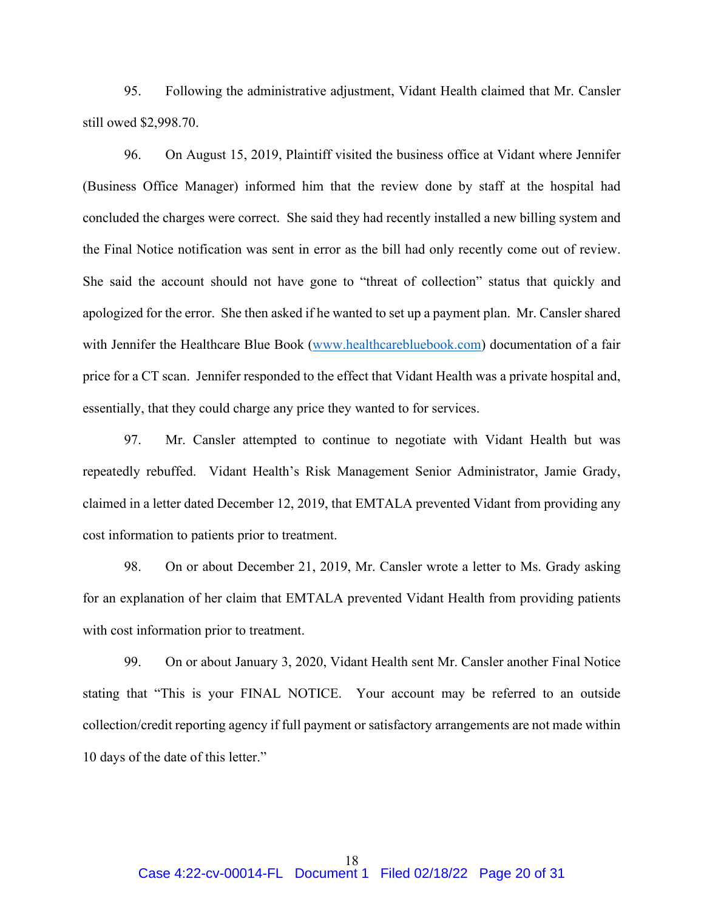95. Following the administrative adjustment, Vidant Health claimed that Mr. Cansler still owed \$2,998.70.

96. On August 15, 2019, Plaintiff visited the business office at Vidant where Jennifer (Business Office Manager) informed him that the review done by staff at the hospital had concluded the charges were correct. She said they had recently installed a new billing system and the Final Notice notification was sent in error as the bill had only recently come out of review. She said the account should not have gone to "threat of collection" status that quickly and apologized for the error. She then asked if he wanted to set up a payment plan. Mr. Cansler shared with Jennifer the Healthcare Blue Book [\(www.healthcarebluebook.com\)](http://www.healthcarebluebook.com/) documentation of a fair price for a CT scan. Jennifer responded to the effect that Vidant Health was a private hospital and, essentially, that they could charge any price they wanted to for services.

97. Mr. Cansler attempted to continue to negotiate with Vidant Health but was repeatedly rebuffed. Vidant Health's Risk Management Senior Administrator, Jamie Grady, claimed in a letter dated December 12, 2019, that EMTALA prevented Vidant from providing any cost information to patients prior to treatment.

98. On or about December 21, 2019, Mr. Cansler wrote a letter to Ms. Grady asking for an explanation of her claim that EMTALA prevented Vidant Health from providing patients with cost information prior to treatment.

99. On or about January 3, 2020, Vidant Health sent Mr. Cansler another Final Notice stating that "This is your FINAL NOTICE. Your account may be referred to an outside collection/credit reporting agency if full payment or satisfactory arrangements are not made within 10 days of the date of this letter."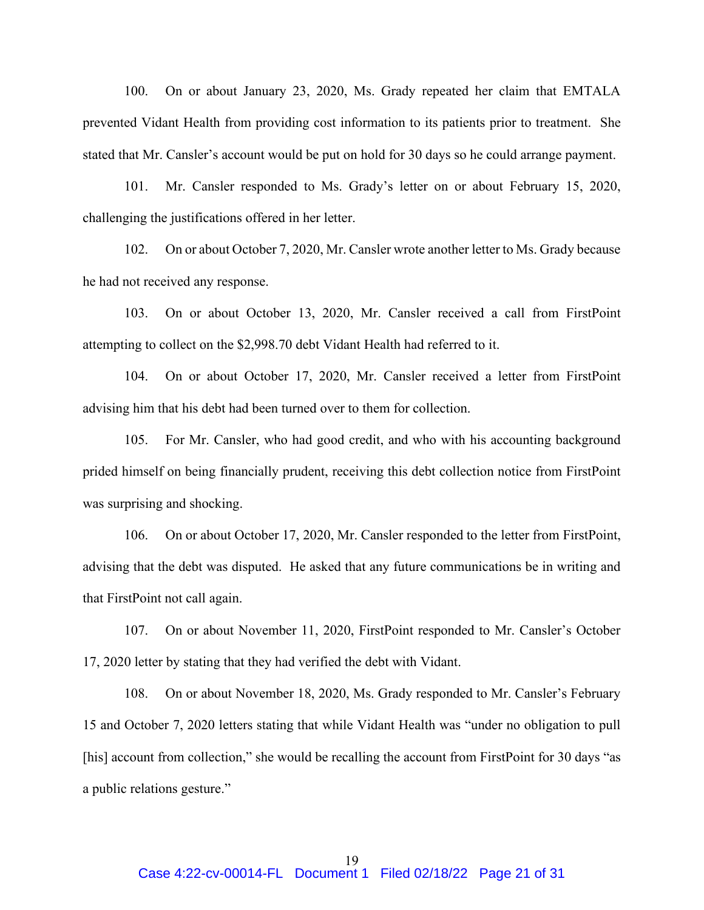100. On or about January 23, 2020, Ms. Grady repeated her claim that EMTALA prevented Vidant Health from providing cost information to its patients prior to treatment. She stated that Mr. Cansler's account would be put on hold for 30 days so he could arrange payment.

101. Mr. Cansler responded to Ms. Grady's letter on or about February 15, 2020, challenging the justifications offered in her letter.

102. On or about October 7, 2020, Mr. Cansler wrote another letter to Ms. Grady because he had not received any response.

103. On or about October 13, 2020, Mr. Cansler received a call from FirstPoint attempting to collect on the \$2,998.70 debt Vidant Health had referred to it.

104. On or about October 17, 2020, Mr. Cansler received a letter from FirstPoint advising him that his debt had been turned over to them for collection.

105. For Mr. Cansler, who had good credit, and who with his accounting background prided himself on being financially prudent, receiving this debt collection notice from FirstPoint was surprising and shocking.

106. On or about October 17, 2020, Mr. Cansler responded to the letter from FirstPoint, advising that the debt was disputed. He asked that any future communications be in writing and that FirstPoint not call again.

107. On or about November 11, 2020, FirstPoint responded to Mr. Cansler's October 17, 2020 letter by stating that they had verified the debt with Vidant.

108. On or about November 18, 2020, Ms. Grady responded to Mr. Cansler's February 15 and October 7, 2020 letters stating that while Vidant Health was "under no obligation to pull [his] account from collection," she would be recalling the account from FirstPoint for 30 days "as a public relations gesture."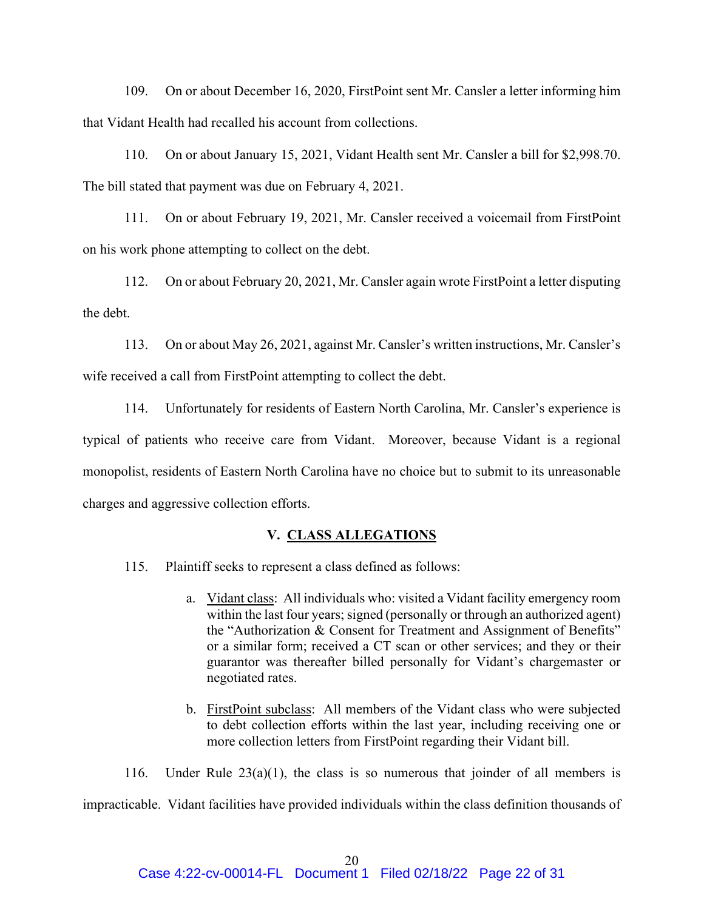109. On or about December 16, 2020, FirstPoint sent Mr. Cansler a letter informing him that Vidant Health had recalled his account from collections.

110. On or about January 15, 2021, Vidant Health sent Mr. Cansler a bill for \$2,998.70. The bill stated that payment was due on February 4, 2021.

111. On or about February 19, 2021, Mr. Cansler received a voicemail from FirstPoint on his work phone attempting to collect on the debt.

112. On or about February 20, 2021, Mr. Cansler again wrote FirstPoint a letter disputing the debt.

113. On or about May 26, 2021, against Mr. Cansler's written instructions, Mr. Cansler's wife received a call from FirstPoint attempting to collect the debt.

114. Unfortunately for residents of Eastern North Carolina, Mr. Cansler's experience is typical of patients who receive care from Vidant. Moreover, because Vidant is a regional monopolist, residents of Eastern North Carolina have no choice but to submit to its unreasonable charges and aggressive collection efforts.

### **V. CLASS ALLEGATIONS**

115. Plaintiff seeks to represent a class defined as follows:

- a. Vidant class: All individuals who: visited a Vidant facility emergency room within the last four years; signed (personally or through an authorized agent) the "Authorization & Consent for Treatment and Assignment of Benefits" or a similar form; received a CT scan or other services; and they or their guarantor was thereafter billed personally for Vidant's chargemaster or negotiated rates.
- b. FirstPoint subclass: All members of the Vidant class who were subjected to debt collection efforts within the last year, including receiving one or more collection letters from FirstPoint regarding their Vidant bill.

116. Under Rule  $23(a)(1)$ , the class is so numerous that joinder of all members is impracticable. Vidant facilities have provided individuals within the class definition thousands of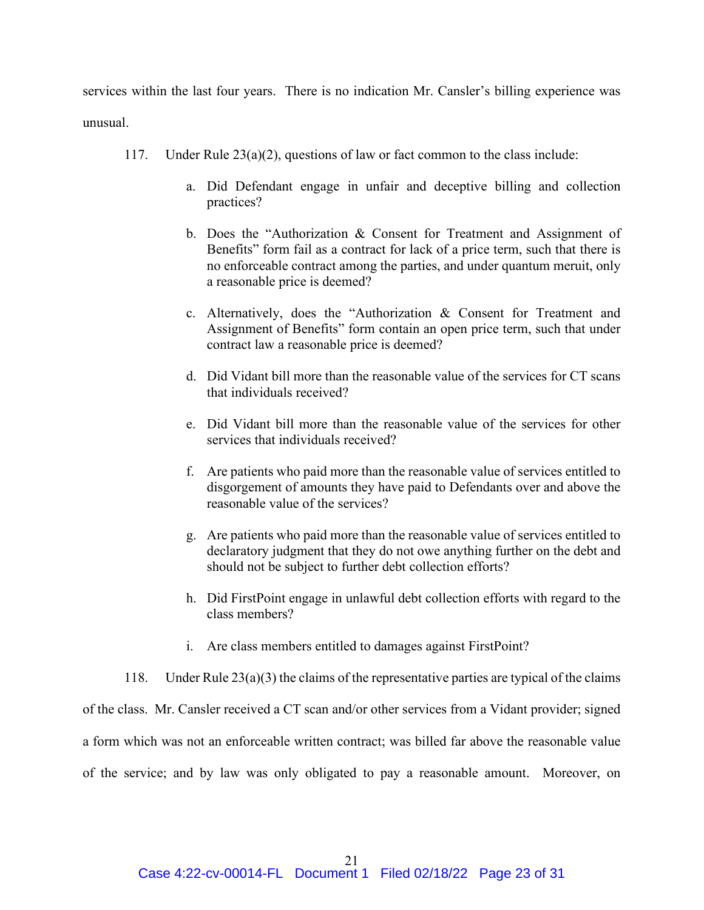services within the last four years. There is no indication Mr. Cansler's billing experience was unusual.

- 117. Under Rule  $23(a)(2)$ , questions of law or fact common to the class include:
	- a. Did Defendant engage in unfair and deceptive billing and collection practices?
	- b. Does the "Authorization & Consent for Treatment and Assignment of Benefits" form fail as a contract for lack of a price term, such that there is no enforceable contract among the parties, and under quantum meruit, only a reasonable price is deemed?
	- c. Alternatively, does the "Authorization & Consent for Treatment and Assignment of Benefits" form contain an open price term, such that under contract law a reasonable price is deemed?
	- d. Did Vidant bill more than the reasonable value of the services for CT scans that individuals received?
	- e. Did Vidant bill more than the reasonable value of the services for other services that individuals received?
	- f. Are patients who paid more than the reasonable value of services entitled to disgorgement of amounts they have paid to Defendants over and above the reasonable value of the services?
	- g. Are patients who paid more than the reasonable value of services entitled to declaratory judgment that they do not owe anything further on the debt and should not be subject to further debt collection efforts?
	- h. Did FirstPoint engage in unlawful debt collection efforts with regard to the class members?
	- i. Are class members entitled to damages against FirstPoint?

118. Under Rule 23(a)(3) the claims of the representative parties are typical of the claims of the class. Mr. Cansler received a CT scan and/or other services from a Vidant provider; signed a form which was not an enforceable written contract; was billed far above the reasonable value of the service; and by law was only obligated to pay a reasonable amount. Moreover, on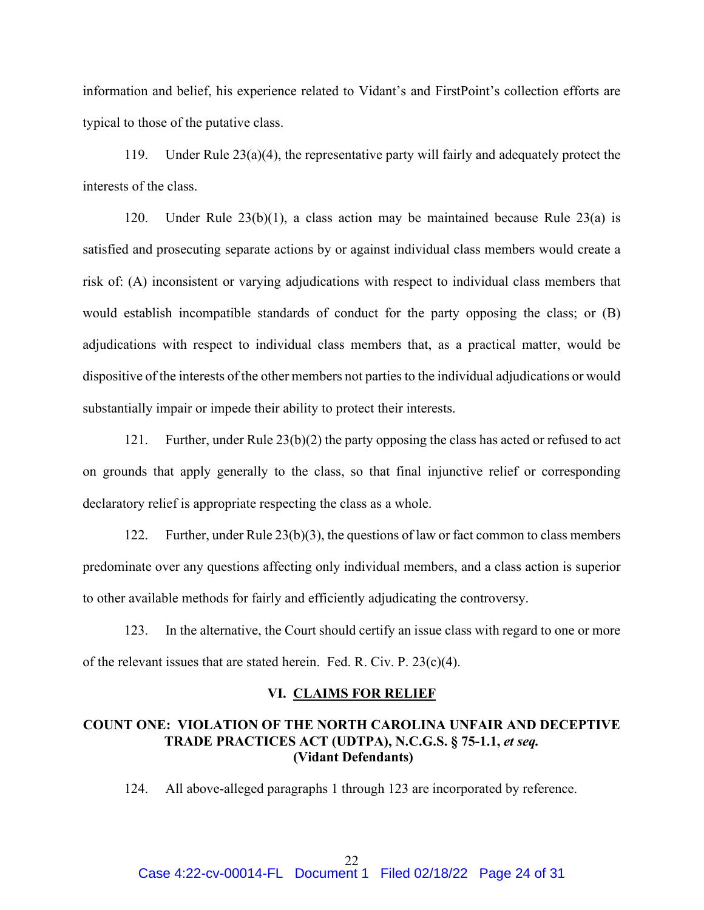information and belief, his experience related to Vidant's and FirstPoint's collection efforts are typical to those of the putative class.

119. Under Rule 23(a)(4), the representative party will fairly and adequately protect the interests of the class.

120. Under Rule 23(b)(1), a class action may be maintained because Rule 23(a) is satisfied and prosecuting separate actions by or against individual class members would create a risk of: (A) inconsistent or varying adjudications with respect to individual class members that would establish incompatible standards of conduct for the party opposing the class; or (B) adjudications with respect to individual class members that, as a practical matter, would be dispositive of the interests of the other members not parties to the individual adjudications or would substantially impair or impede their ability to protect their interests.

121. Further, under Rule 23(b)(2) the party opposing the class has acted or refused to act on grounds that apply generally to the class, so that final injunctive relief or corresponding declaratory relief is appropriate respecting the class as a whole.

122. Further, under Rule 23(b)(3), the questions of law or fact common to class members predominate over any questions affecting only individual members, and a class action is superior to other available methods for fairly and efficiently adjudicating the controversy.

123. In the alternative, the Court should certify an issue class with regard to one or more of the relevant issues that are stated herein. Fed. R. Civ. P.  $23(c)(4)$ .

## **VI. CLAIMS FOR RELIEF**

# **COUNT ONE: VIOLATION OF THE NORTH CAROLINA UNFAIR AND DECEPTIVE TRADE PRACTICES ACT (UDTPA), N.C.G.S. § 75-1.1,** *et seq.* **(Vidant Defendants)**

124. All above-alleged paragraphs 1 through 123 are incorporated by reference.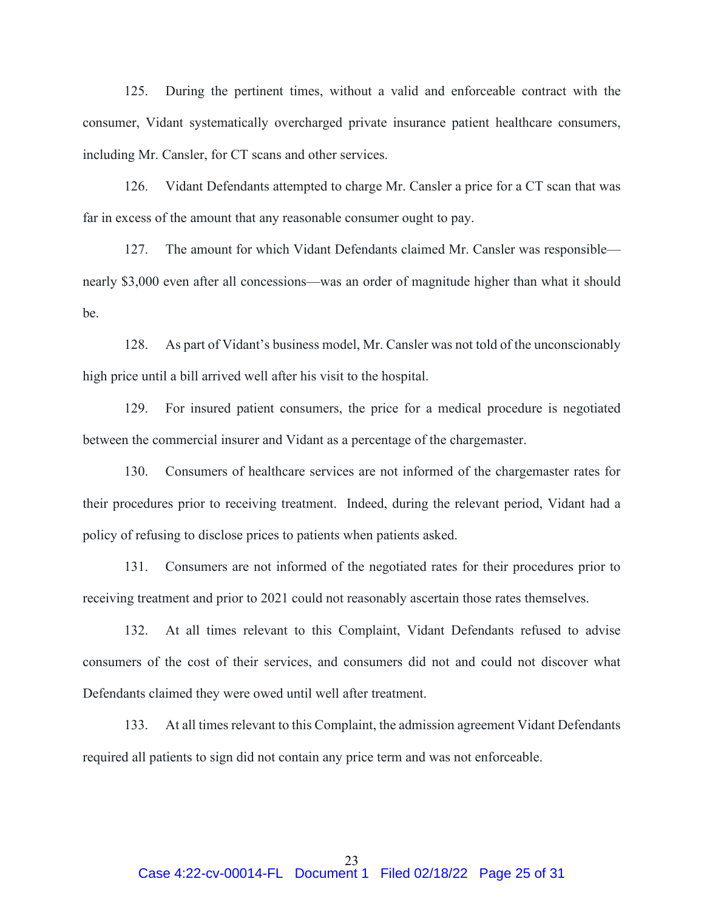125. During the pertinent times, without a valid and enforceable contract with the consumer, Vidant systematically overcharged private insurance patient healthcare consumers, including Mr. Cansler, for CT scans and other services.

126. Vidant Defendants attempted to charge Mr. Cansler a price for a CT scan that was far in excess of the amount that any reasonable consumer ought to pay.

127. The amount for which Vidant Defendants claimed Mr. Cansler was responsible nearly \$3,000 even after all concessions—was an order of magnitude higher than what it should be.

128. As part of Vidant's business model, Mr. Cansler was not told of the unconscionably high price until a bill arrived well after his visit to the hospital.

129. For insured patient consumers, the price for a medical procedure is negotiated between the commercial insurer and Vidant as a percentage of the chargemaster.

130. Consumers of healthcare services are not informed of the chargemaster rates for their procedures prior to receiving treatment. Indeed, during the relevant period, Vidant had a policy of refusing to disclose prices to patients when patients asked.

131. Consumers are not informed of the negotiated rates for their procedures prior to receiving treatment and prior to 2021 could not reasonably ascertain those rates themselves.

132. At all times relevant to this Complaint, Vidant Defendants refused to advise consumers of the cost of their services, and consumers did not and could not discover what Defendants claimed they were owed until well after treatment.

133. At all times relevant to this Complaint, the admission agreement Vidant Defendants required all patients to sign did not contain any price term and was not enforceable.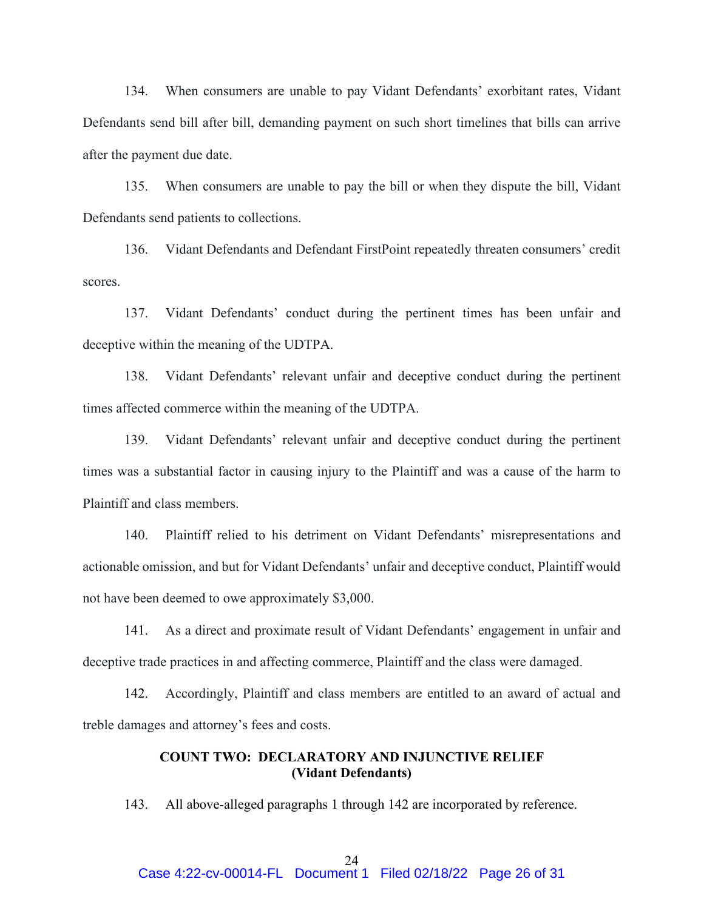134. When consumers are unable to pay Vidant Defendants' exorbitant rates, Vidant Defendants send bill after bill, demanding payment on such short timelines that bills can arrive after the payment due date.

135. When consumers are unable to pay the bill or when they dispute the bill, Vidant Defendants send patients to collections.

136. Vidant Defendants and Defendant FirstPoint repeatedly threaten consumers' credit scores.

137. Vidant Defendants' conduct during the pertinent times has been unfair and deceptive within the meaning of the UDTPA.

138. Vidant Defendants' relevant unfair and deceptive conduct during the pertinent times affected commerce within the meaning of the UDTPA.

139. Vidant Defendants' relevant unfair and deceptive conduct during the pertinent times was a substantial factor in causing injury to the Plaintiff and was a cause of the harm to Plaintiff and class members.

140. Plaintiff relied to his detriment on Vidant Defendants' misrepresentations and actionable omission, and but for Vidant Defendants' unfair and deceptive conduct, Plaintiff would not have been deemed to owe approximately \$3,000.

141. As a direct and proximate result of Vidant Defendants' engagement in unfair and deceptive trade practices in and affecting commerce, Plaintiff and the class were damaged.

142. Accordingly, Plaintiff and class members are entitled to an award of actual and treble damages and attorney's fees and costs.

# **COUNT TWO: DECLARATORY AND INJUNCTIVE RELIEF (Vidant Defendants)**

143. All above-alleged paragraphs 1 through 142 are incorporated by reference.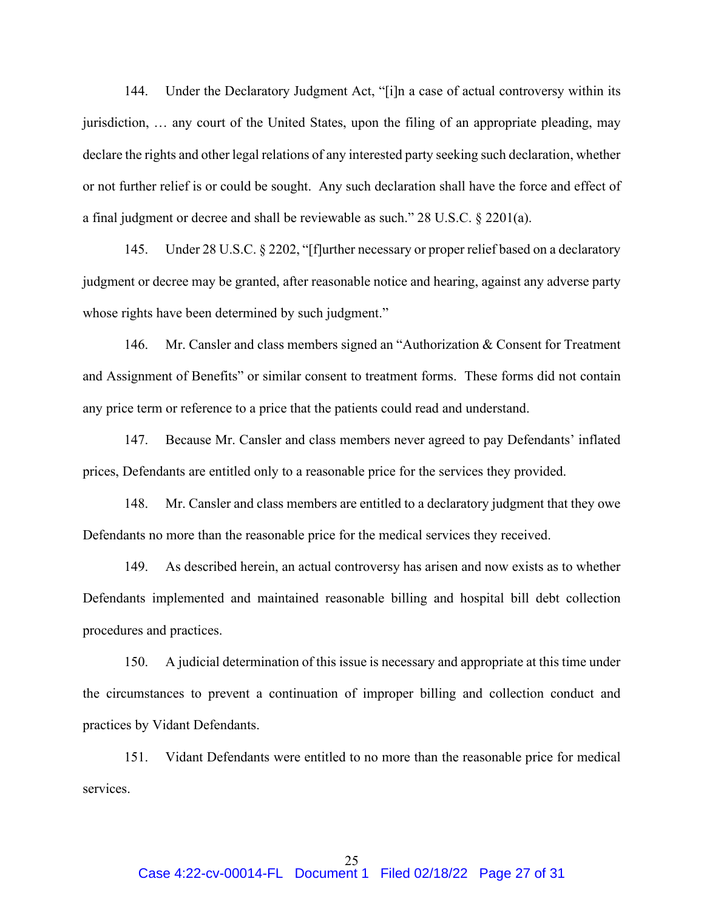144. Under the Declaratory Judgment Act, "[i]n a case of actual controversy within its jurisdiction, … any court of the United States, upon the filing of an appropriate pleading, may declare the rights and other legal relations of any interested party seeking such declaration, whether or not further relief is or could be sought. Any such declaration shall have the force and effect of a final judgment or decree and shall be reviewable as such." 28 U.S.C. § 2201(a).

145. Under 28 U.S.C. § 2202, "[f]urther necessary or proper relief based on a declaratory judgment or decree may be granted, after reasonable notice and hearing, against any adverse party whose rights have been determined by such judgment."

146. Mr. Cansler and class members signed an "Authorization & Consent for Treatment and Assignment of Benefits" or similar consent to treatment forms. These forms did not contain any price term or reference to a price that the patients could read and understand.

147. Because Mr. Cansler and class members never agreed to pay Defendants' inflated prices, Defendants are entitled only to a reasonable price for the services they provided.

148. Mr. Cansler and class members are entitled to a declaratory judgment that they owe Defendants no more than the reasonable price for the medical services they received.

149. As described herein, an actual controversy has arisen and now exists as to whether Defendants implemented and maintained reasonable billing and hospital bill debt collection procedures and practices.

150. A judicial determination of this issue is necessary and appropriate at this time under the circumstances to prevent a continuation of improper billing and collection conduct and practices by Vidant Defendants.

151. Vidant Defendants were entitled to no more than the reasonable price for medical services.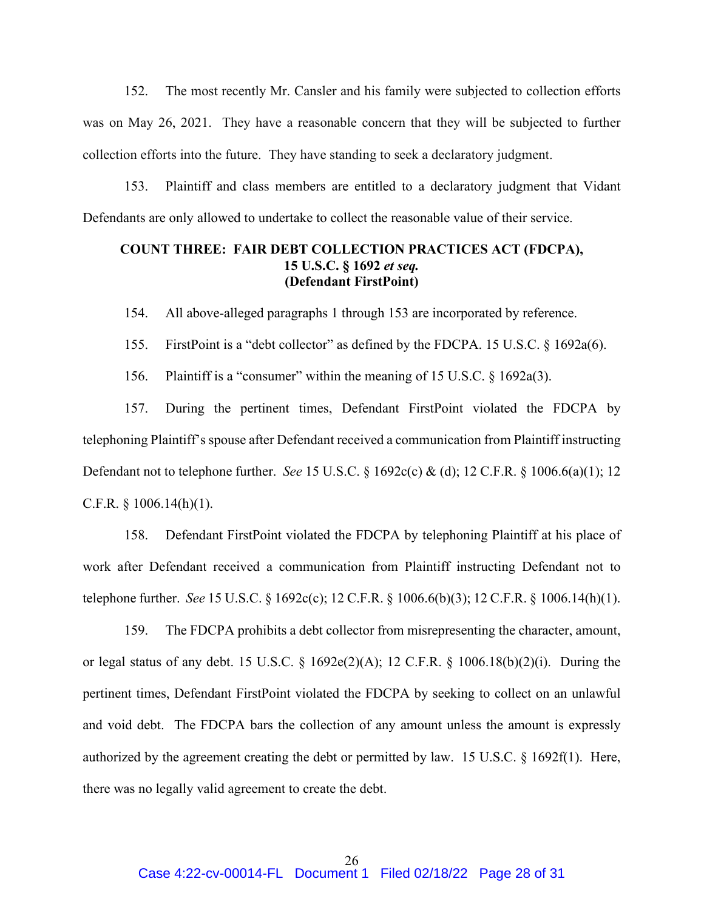152. The most recently Mr. Cansler and his family were subjected to collection efforts was on May 26, 2021. They have a reasonable concern that they will be subjected to further collection efforts into the future. They have standing to seek a declaratory judgment.

153. Plaintiff and class members are entitled to a declaratory judgment that Vidant Defendants are only allowed to undertake to collect the reasonable value of their service.

# **COUNT THREE: FAIR DEBT COLLECTION PRACTICES ACT (FDCPA), 15 U.S.C. § 1692** *et seq.* **(Defendant FirstPoint)**

154. All above-alleged paragraphs 1 through 153 are incorporated by reference.

155. FirstPoint is a "debt collector" as defined by the FDCPA. 15 U.S.C. § 1692a(6).

156. Plaintiff is a "consumer" within the meaning of 15 U.S.C. § 1692a(3).

157. During the pertinent times, Defendant FirstPoint violated the FDCPA by telephoning Plaintiff's spouse after Defendant received a communication from Plaintiff instructing Defendant not to telephone further. *See* 15 U.S.C. § 1692c(c) & (d); 12 C.F.R. § 1006.6(a)(1); 12 C.F.R.  $\S$  1006.14(h)(1).

158. Defendant FirstPoint violated the FDCPA by telephoning Plaintiff at his place of work after Defendant received a communication from Plaintiff instructing Defendant not to telephone further. *See* 15 U.S.C. § 1692c(c); 12 C.F.R. § 1006.6(b)(3); 12 C.F.R. § 1006.14(h)(1).

159. The FDCPA prohibits a debt collector from misrepresenting the character, amount, or legal status of any debt. 15 U.S.C. § 1692e(2)(A); 12 C.F.R. § 1006.18(b)(2)(i). During the pertinent times, Defendant FirstPoint violated the FDCPA by seeking to collect on an unlawful and void debt. The FDCPA bars the collection of any amount unless the amount is expressly authorized by the agreement creating the debt or permitted by law. 15 U.S.C. § 1692f(1). Here, there was no legally valid agreement to create the debt.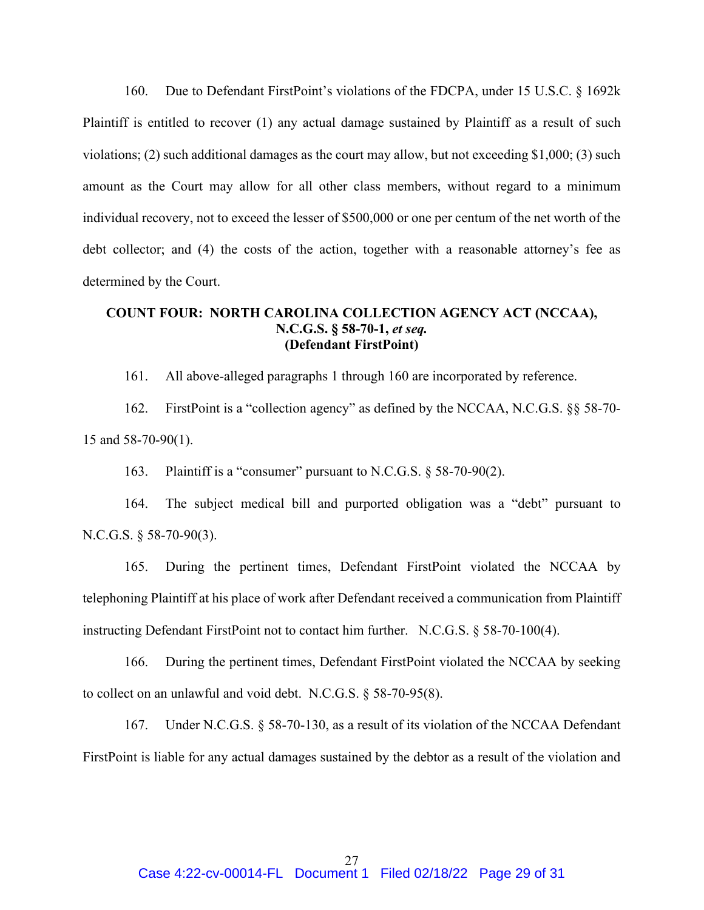160. Due to Defendant FirstPoint's violations of the FDCPA, under 15 U.S.C. § 1692k Plaintiff is entitled to recover (1) any actual damage sustained by Plaintiff as a result of such violations; (2) such additional damages as the court may allow, but not exceeding \$1,000; (3) such amount as the Court may allow for all other class members, without regard to a minimum individual recovery, not to exceed the lesser of \$500,000 or one per centum of the net worth of the debt collector; and (4) the costs of the action, together with a reasonable attorney's fee as determined by the Court.

# **COUNT FOUR: NORTH CAROLINA COLLECTION AGENCY ACT (NCCAA), N.C.G.S. § 58-70-1,** *et seq.* **(Defendant FirstPoint)**

161. All above-alleged paragraphs 1 through 160 are incorporated by reference.

162. FirstPoint is a "collection agency" as defined by the NCCAA, N.C.G.S. §§ 58-70- 15 and 58-70-90(1).

163. Plaintiff is a "consumer" pursuant to N.C.G.S. § 58-70-90(2).

164. The subject medical bill and purported obligation was a "debt" pursuant to N.C.G.S. § 58-70-90(3).

165. During the pertinent times, Defendant FirstPoint violated the NCCAA by telephoning Plaintiff at his place of work after Defendant received a communication from Plaintiff instructing Defendant FirstPoint not to contact him further. N.C.G.S. § 58-70-100(4).

166. During the pertinent times, Defendant FirstPoint violated the NCCAA by seeking to collect on an unlawful and void debt. N.C.G.S. § 58-70-95(8).

167. Under N.C.G.S. § 58-70-130, as a result of its violation of the NCCAA Defendant FirstPoint is liable for any actual damages sustained by the debtor as a result of the violation and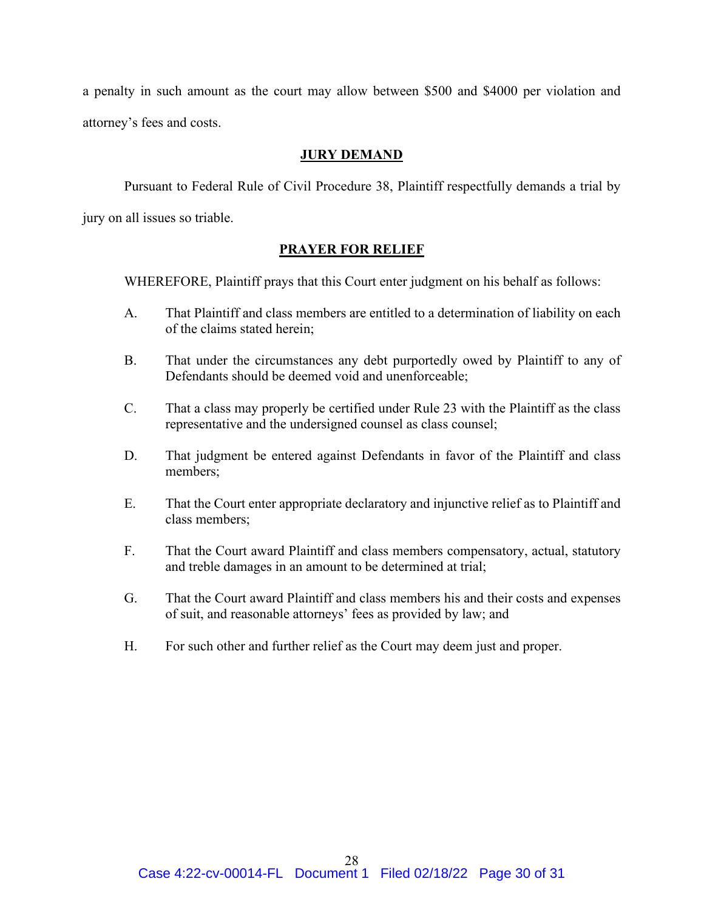a penalty in such amount as the court may allow between \$500 and \$4000 per violation and attorney's fees and costs.

# **JURY DEMAND**

Pursuant to Federal Rule of Civil Procedure 38, Plaintiff respectfully demands a trial by jury on all issues so triable.

# **PRAYER FOR RELIEF**

WHEREFORE, Plaintiff prays that this Court enter judgment on his behalf as follows:

- A. That Plaintiff and class members are entitled to a determination of liability on each of the claims stated herein;
- B. That under the circumstances any debt purportedly owed by Plaintiff to any of Defendants should be deemed void and unenforceable;
- C. That a class may properly be certified under Rule 23 with the Plaintiff as the class representative and the undersigned counsel as class counsel;
- D. That judgment be entered against Defendants in favor of the Plaintiff and class members;
- E. That the Court enter appropriate declaratory and injunctive relief as to Plaintiff and class members;
- F. That the Court award Plaintiff and class members compensatory, actual, statutory and treble damages in an amount to be determined at trial;
- G. That the Court award Plaintiff and class members his and their costs and expenses of suit, and reasonable attorneys' fees as provided by law; and
- H. For such other and further relief as the Court may deem just and proper.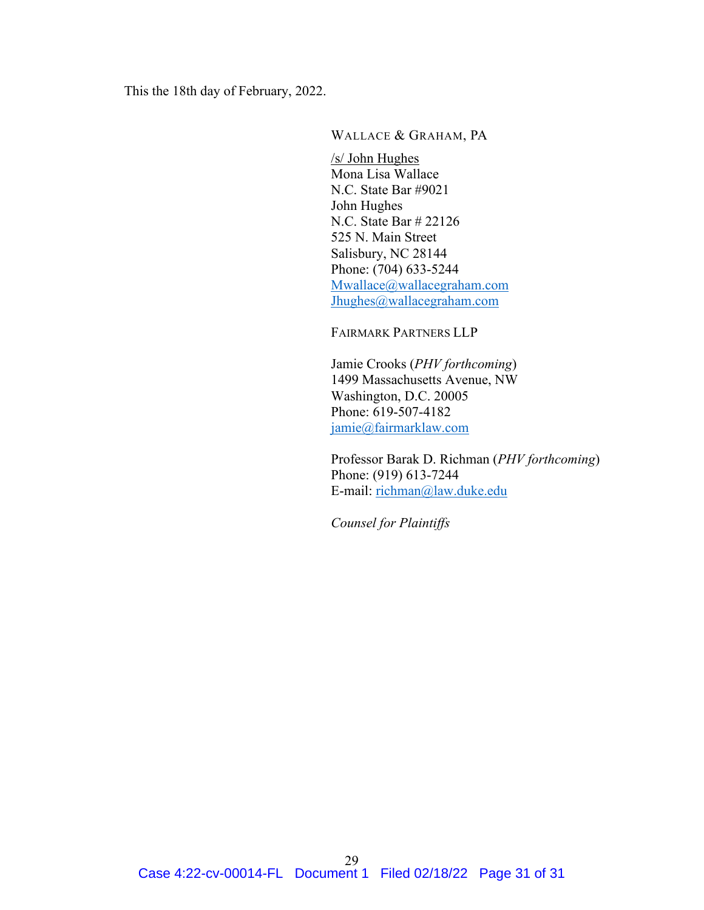This the 18th day of February, 2022.

WALLACE & GRAHAM, PA

/s/ John Hughes Mona Lisa Wallace N.C. State Bar #9021 John Hughes N.C. State Bar # 22126 525 N. Main Street Salisbury, NC 28144 Phone: (704) 633-5244 [Mwallace@wallacegraham.com](mailto:Mwallace@wallacegraham.com) [Jhughes@wallacegraham.com](mailto:Jhughes@wallacegraham.com)

FAIRMARK PARTNERS LLP

Jamie Crooks (*PHV forthcoming*) 1499 Massachusetts Avenue, NW Washington, D.C. 20005 Phone: 619-507-4182 [jamie@fairmarklaw.com](mailto:jamie@fairmarklaw.com)

Professor Barak D. Richman (*PHV forthcoming*) Phone: (919) 613-7244 E-mail: [richman@law.duke.edu](mailto:richman@law.duke.edu)

*Counsel for Plaintiffs*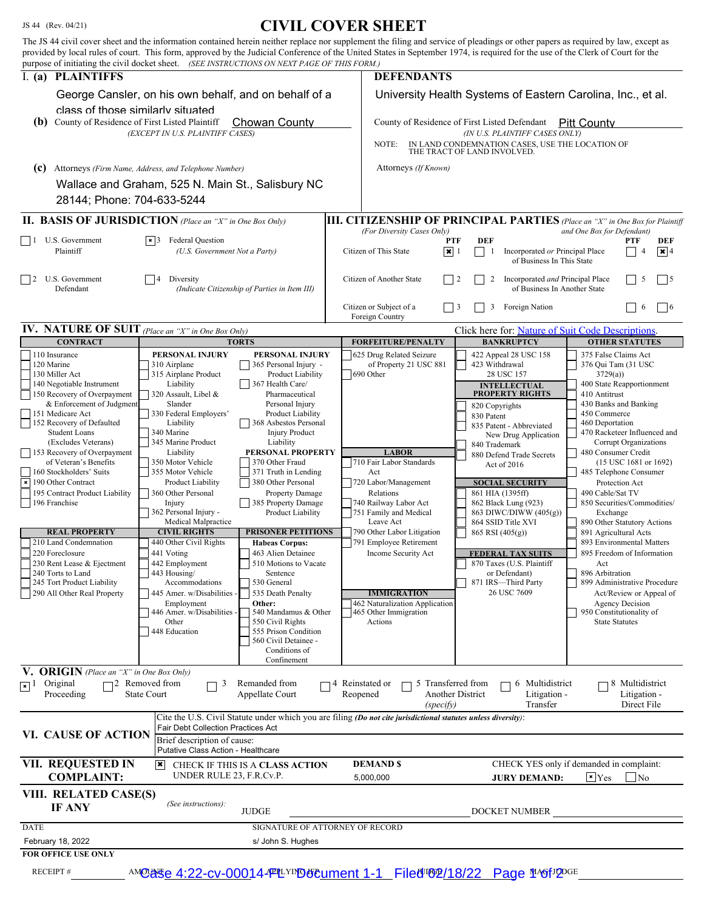# JS 44 (Rev. 04/21) **CIVIL COVER SHEET**

| purpose of initiating the civil docket sheet. (SEE INSTRUCTIONS ON NEXT PAGE OF THIS FORM.)                                                                                                                        |                                                                                    |                                               | The JS 44 civil cover sheet and the information contained herein neither replace nor supplement the filing and service of pleadings or other papers as required by law, except as<br>provided by local rules of court. This form, approved by the Judicial Conference of the United States in September 1974, is required for the use of the Clerk of Court for the |                                                                                                 |                                                              |  |
|--------------------------------------------------------------------------------------------------------------------------------------------------------------------------------------------------------------------|------------------------------------------------------------------------------------|-----------------------------------------------|---------------------------------------------------------------------------------------------------------------------------------------------------------------------------------------------------------------------------------------------------------------------------------------------------------------------------------------------------------------------|-------------------------------------------------------------------------------------------------|--------------------------------------------------------------|--|
| I. (a) PLAINTIFFS                                                                                                                                                                                                  |                                                                                    |                                               | <b>DEFENDANTS</b>                                                                                                                                                                                                                                                                                                                                                   |                                                                                                 |                                                              |  |
| class of those similarly situated                                                                                                                                                                                  | George Cansler, on his own behalf, and on behalf of a                              |                                               | University Health Systems of Eastern Carolina, Inc., et al.                                                                                                                                                                                                                                                                                                         |                                                                                                 |                                                              |  |
| (b) County of Residence of First Listed Plaintiff<br><b>Chowan County</b><br>(EXCEPT IN U.S. PLAINTIFF CASES)                                                                                                      |                                                                                    |                                               | County of Residence of First Listed Defendant<br><b>Pitt County</b><br>(IN U.S. PLAINTIFF CASES ONLY)<br>NOTE:<br>IN LAND CONDEMNATION CASES, USE THE LOCATION OF THE TRACT OF LAND INVOLVED.                                                                                                                                                                       |                                                                                                 |                                                              |  |
| Attorneys (Firm Name, Address, and Telephone Number)                                                                                                                                                               |                                                                                    |                                               | Attorneys (If Known)                                                                                                                                                                                                                                                                                                                                                |                                                                                                 |                                                              |  |
| (c)                                                                                                                                                                                                                | Wallace and Graham, 525 N. Main St., Salisbury NC                                  |                                               |                                                                                                                                                                                                                                                                                                                                                                     |                                                                                                 |                                                              |  |
| 28144; Phone: 704-633-5244                                                                                                                                                                                         |                                                                                    |                                               |                                                                                                                                                                                                                                                                                                                                                                     |                                                                                                 |                                                              |  |
| <b>II. BASIS OF JURISDICTION</b> (Place an "X" in One Box Only)<br><b>III. CITIZENSHIP OF PRINCIPAL PARTIES</b> (Place an "X" in One Box for Plaintiff<br>(For Diversity Cases Only)<br>and One Box for Defendant) |                                                                                    |                                               |                                                                                                                                                                                                                                                                                                                                                                     |                                                                                                 |                                                              |  |
| U.S. Government<br>$\Box$<br>Plaintiff                                                                                                                                                                             | <b>Federal Question</b><br>$\vert \times \vert$ 3<br>(U.S. Government Not a Party) |                                               | <b>PTF</b><br>$\sqrt{\mathbf{x}}$ 1<br>Citizen of This State                                                                                                                                                                                                                                                                                                        | DEF<br>Incorporated or Principal Place<br>-1<br>of Business In This State                       | <b>PTF</b><br>DEF<br>$\sqrt{\mathbf{x}}$ 4<br>$\overline{4}$ |  |
| U.S. Government<br>$\vert$ 2<br>Defendant                                                                                                                                                                          | Diversity<br>(Indicate Citizenship of Parties in Item III)                         |                                               | Citizen of Another State                                                                                                                                                                                                                                                                                                                                            | Incorporated and Principal Place<br>$\vert$ 2<br>$\overline{2}$<br>of Business In Another State | 5<br>$\vert$ 5                                               |  |
|                                                                                                                                                                                                                    |                                                                                    | Citizen or Subject of a<br>Foreign Country    | Foreign Nation<br>3<br>3                                                                                                                                                                                                                                                                                                                                            | $\sqrt{6}$<br>6                                                                                 |                                                              |  |
| <b>IV. NATURE OF SUIT</b> (Place an "X" in One Box Only)<br><b>CONTRACT</b>                                                                                                                                        |                                                                                    | <b>TORTS</b>                                  | <b>FORFEITURE/PENALTY</b>                                                                                                                                                                                                                                                                                                                                           | Click here for: Nature of Suit Code Descriptions.<br><b>BANKRUPTCY</b>                          | <b>OTHER STATUTES</b>                                        |  |
| 110 Insurance                                                                                                                                                                                                      | PERSONAL INJURY                                                                    | PERSONAL INJURY                               | 625 Drug Related Seizure                                                                                                                                                                                                                                                                                                                                            | 422 Appeal 28 USC 158                                                                           | 375 False Claims Act                                         |  |
| 120 Marine<br>130 Miller Act                                                                                                                                                                                       | 310 Airplane<br>315 Airplane Product                                               | 365 Personal Injury -<br>Product Liability    | of Property 21 USC 881<br>690 Other                                                                                                                                                                                                                                                                                                                                 | 423 Withdrawal<br>28 USC 157                                                                    | 376 Qui Tam (31 USC<br>3729(a)                               |  |
| 140 Negotiable Instrument                                                                                                                                                                                          | Liability                                                                          | 367 Health Care/                              |                                                                                                                                                                                                                                                                                                                                                                     | <b>INTELLECTUAL</b>                                                                             | 400 State Reapportionment                                    |  |
| 150 Recovery of Overpayment<br>& Enforcement of Judgment                                                                                                                                                           | 320 Assault, Libel &<br>Slander                                                    | Pharmaceutical<br>Personal Injury             |                                                                                                                                                                                                                                                                                                                                                                     | <b>PROPERTY RIGHTS</b><br>820 Copyrights                                                        | 410 Antitrust<br>430 Banks and Banking                       |  |
| 151 Medicare Act<br>152 Recovery of Defaulted                                                                                                                                                                      | 330 Federal Employers'<br>Liability                                                | Product Liability<br>368 Asbestos Personal    |                                                                                                                                                                                                                                                                                                                                                                     | 830 Patent                                                                                      | 450 Commerce<br>460 Deportation                              |  |
| <b>Student Loans</b>                                                                                                                                                                                               | 340 Marine                                                                         | <b>Injury Product</b>                         |                                                                                                                                                                                                                                                                                                                                                                     | 835 Patent - Abbreviated<br>New Drug Application                                                | 470 Racketeer Influenced and                                 |  |
| (Excludes Veterans)<br>153 Recovery of Overpayment                                                                                                                                                                 | 345 Marine Product<br>Liability                                                    | Liability<br>PERSONAL PROPERTY                | <b>LABOR</b>                                                                                                                                                                                                                                                                                                                                                        | 840 Trademark<br>880 Defend Trade Secrets                                                       | Corrupt Organizations<br>480 Consumer Credit                 |  |
| of Veteran's Benefits<br>160 Stockholders' Suits                                                                                                                                                                   | 350 Motor Vehicle<br>355 Motor Vehicle                                             | 370 Other Fraud<br>371 Truth in Lending       | 710 Fair Labor Standards<br>Act                                                                                                                                                                                                                                                                                                                                     | Act of $2016$                                                                                   | (15 USC 1681 or 1692)<br>485 Telephone Consumer              |  |
| $\vert x \vert$ 190 Other Contract                                                                                                                                                                                 | Product Liability                                                                  | 380 Other Personal                            | 720 Labor/Management                                                                                                                                                                                                                                                                                                                                                | <b>SOCIAL SECURITY</b>                                                                          | Protection Act                                               |  |
| 195 Contract Product Liability<br>196 Franchise                                                                                                                                                                    | 360 Other Personal<br>Injury                                                       | <b>Property Damage</b><br>385 Property Damage | Relations<br>740 Railway Labor Act                                                                                                                                                                                                                                                                                                                                  | 861 HIA (1395ff)<br>862 Black Lung (923)                                                        | 490 Cable/Sat TV<br>850 Securities/Commodities/              |  |
|                                                                                                                                                                                                                    | 362 Personal Injury -<br>Medical Malpractice                                       | <b>Product Liability</b>                      | 751 Family and Medical<br>Leave Act                                                                                                                                                                                                                                                                                                                                 | 863 DIWC/DIWW (405(g))<br>864 SSID Title XVI                                                    | Exchange<br>890 Other Statutory Actions                      |  |
| <b>REAL PROPERTY</b>                                                                                                                                                                                               | <b>CIVIL RIGHTS</b>                                                                | <b>PRISONER PETITIONS</b>                     | 790 Other Labor Litigation                                                                                                                                                                                                                                                                                                                                          | 865 RSI (405(g))                                                                                | 891 Agricultural Acts                                        |  |
| 210 Land Condemnation<br>220 Foreclosure                                                                                                                                                                           | 440 Other Civil Rights<br>441 Voting                                               | <b>Habeas Corpus:</b><br>463 Alien Detainee   | 791 Employee Retirement<br>Income Security Act                                                                                                                                                                                                                                                                                                                      | <b>FEDERAL TAX SUITS</b>                                                                        | 893 Environmental Matters<br>895 Freedom of Information      |  |
| 230 Rent Lease & Ejectment                                                                                                                                                                                         | 442 Employment                                                                     | 510 Motions to Vacate                         |                                                                                                                                                                                                                                                                                                                                                                     | 870 Taxes (U.S. Plaintiff                                                                       | Act                                                          |  |
| 240 Torts to Land<br>245 Tort Product Liability                                                                                                                                                                    | 443 Housing/<br>Accommodations                                                     | Sentence<br>530 General                       |                                                                                                                                                                                                                                                                                                                                                                     | or Defendant)<br>871 IRS-Third Party                                                            | 896 Arbitration<br>899 Administrative Procedure              |  |
| 290 All Other Real Property                                                                                                                                                                                        | 445 Amer. w/Disabilities -<br>Employment                                           | 535 Death Penalty<br>Other:                   | <b>IMMIGRATION</b><br>462 Naturalization Application                                                                                                                                                                                                                                                                                                                | 26 USC 7609                                                                                     | Act/Review or Appeal of<br><b>Agency Decision</b>            |  |
|                                                                                                                                                                                                                    | 446 Amer. w/Disabilities -                                                         | 540 Mandamus & Other                          | 465 Other Immigration                                                                                                                                                                                                                                                                                                                                               |                                                                                                 | 950 Constitutionality of                                     |  |
|                                                                                                                                                                                                                    | Other<br>448 Education                                                             | 550 Civil Rights<br>555 Prison Condition      | Actions                                                                                                                                                                                                                                                                                                                                                             |                                                                                                 | <b>State Statutes</b>                                        |  |
|                                                                                                                                                                                                                    |                                                                                    | 560 Civil Detainee -<br>Conditions of         |                                                                                                                                                                                                                                                                                                                                                                     |                                                                                                 |                                                              |  |
|                                                                                                                                                                                                                    |                                                                                    | Confinement                                   |                                                                                                                                                                                                                                                                                                                                                                     |                                                                                                 |                                                              |  |
| <b>V. ORIGIN</b> (Place an "X" in One Box Only)<br>Original<br>$\sqrt{x}$                                                                                                                                          | 72 Removed from<br>3                                                               | Remanded from                                 | $\neg$ 4 Reinstated or<br>5 Transferred from                                                                                                                                                                                                                                                                                                                        | 6 Multidistrict                                                                                 | 8 Multidistrict                                              |  |
| Proceeding                                                                                                                                                                                                         | <b>State Court</b>                                                                 | Appellate Court                               | Reopened<br>(specify)                                                                                                                                                                                                                                                                                                                                               | Another District<br>Litigation -<br>Transfer                                                    | Litigation -<br>Direct File                                  |  |
|                                                                                                                                                                                                                    | Fair Debt Collection Practices Act                                                 |                                               | Cite the U.S. Civil Statute under which you are filing (Do not cite jurisdictional statutes unless diversity):                                                                                                                                                                                                                                                      |                                                                                                 |                                                              |  |
| VI. CAUSE OF ACTION                                                                                                                                                                                                | Brief description of cause:                                                        |                                               |                                                                                                                                                                                                                                                                                                                                                                     |                                                                                                 |                                                              |  |
| Putative Class Action - Healthcare<br><b>VII. REQUESTED IN</b><br>CHECK YES only if demanded in complaint:<br><b>DEMAND \$</b><br>l×l<br>CHECK IF THIS IS A CLASS ACTION                                           |                                                                                    |                                               |                                                                                                                                                                                                                                                                                                                                                                     |                                                                                                 |                                                              |  |
| UNDER RULE 23, F.R.Cv.P.<br><b>COMPLAINT:</b><br>$\overline{N_0}$<br>5,000,000<br>$\vert \mathbf{x} \vert$ Yes<br><b>JURY DEMAND:</b>                                                                              |                                                                                    |                                               |                                                                                                                                                                                                                                                                                                                                                                     |                                                                                                 |                                                              |  |
| VIII. RELATED CASE(S)<br><b>IF ANY</b>                                                                                                                                                                             | (See instructions):                                                                | <b>JUDGE</b>                                  |                                                                                                                                                                                                                                                                                                                                                                     | DOCKET NUMBER                                                                                   |                                                              |  |
| <b>DATE</b>                                                                                                                                                                                                        | SIGNATURE OF ATTORNEY OF RECORD                                                    |                                               |                                                                                                                                                                                                                                                                                                                                                                     |                                                                                                 |                                                              |  |
| February 18, 2022                                                                                                                                                                                                  | s/ John S. Hughes                                                                  |                                               |                                                                                                                                                                                                                                                                                                                                                                     |                                                                                                 |                                                              |  |
| <b>FOR OFFICE USE ONLY</b>                                                                                                                                                                                         |                                                                                    |                                               |                                                                                                                                                                                                                                                                                                                                                                     |                                                                                                 |                                                              |  |
| <b>RECEIPT#</b><br>AMORSe 4:22-cv-000144 PLYIN 96 Bument 1-1 Filed TO 2/18/22 Page 146f 20GE                                                                                                                       |                                                                                    |                                               |                                                                                                                                                                                                                                                                                                                                                                     |                                                                                                 |                                                              |  |